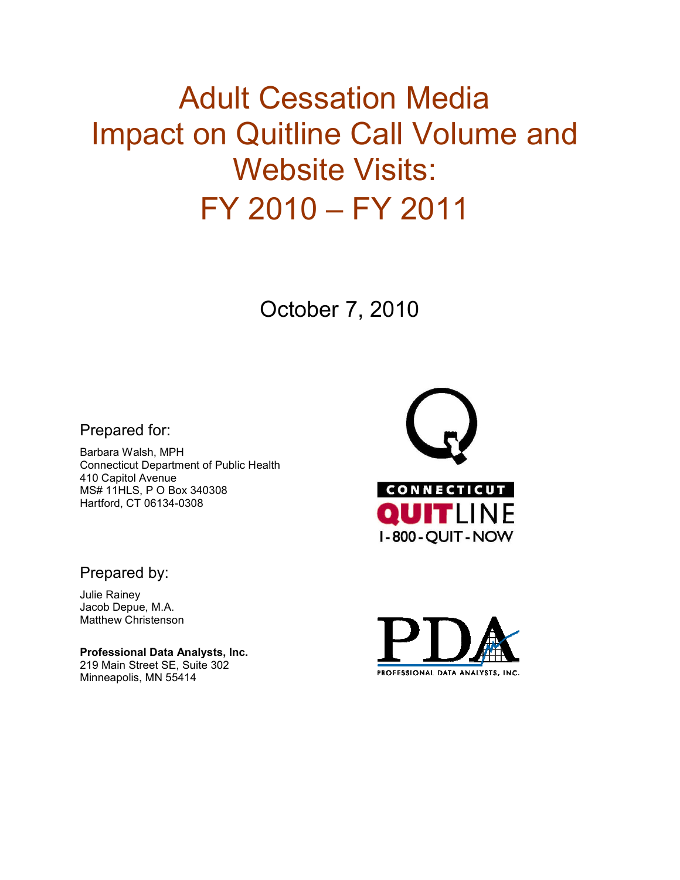# Adult Cessation Media Impact on Quitline Call Volume and Website Visits: FY 2010 – FY 2011

October 7, 2010

Prepared for:

Barbara Walsh, MPH Connecticut Department of Public Health 410 Capitol Avenue MS# 11HLS, P O Box 340308 Hartford, CT 06134-0308



Prepared by:

Julie Rainey Jacob Depue, M.A. Matthew Christenson

**Professional Data Analysts, Inc.**  219 Main Street SE, Suite 302 Minneapolis, MN 55414

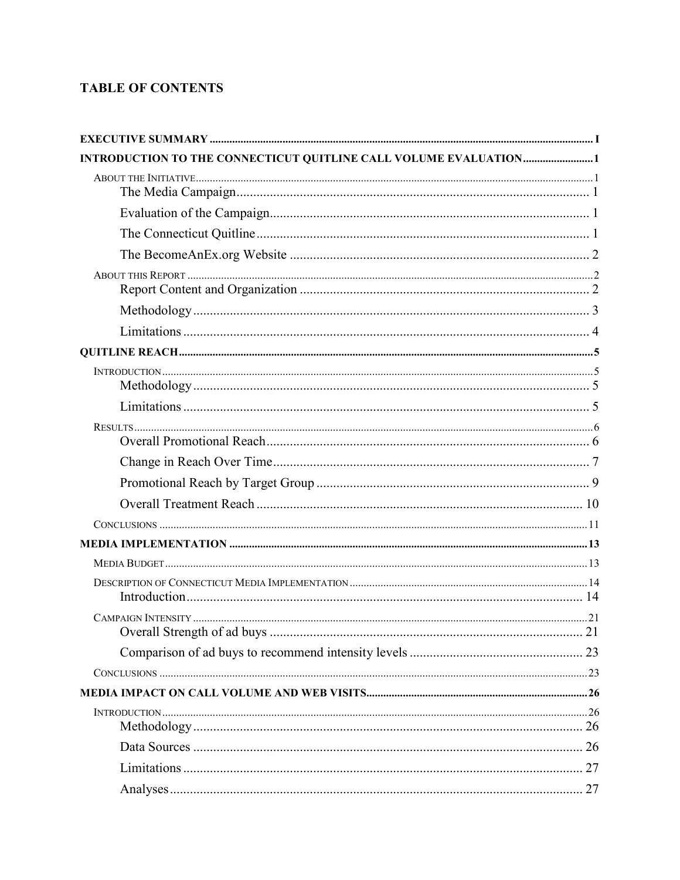# **TABLE OF CONTENTS**

| INTRODUCTION TO THE CONNECTICUT QUITLINE CALL VOLUME EVALUATION1 |  |
|------------------------------------------------------------------|--|
|                                                                  |  |
|                                                                  |  |
|                                                                  |  |
|                                                                  |  |
|                                                                  |  |
|                                                                  |  |
|                                                                  |  |
|                                                                  |  |
|                                                                  |  |
|                                                                  |  |
|                                                                  |  |
|                                                                  |  |
|                                                                  |  |
|                                                                  |  |
|                                                                  |  |
|                                                                  |  |
|                                                                  |  |
|                                                                  |  |
|                                                                  |  |
|                                                                  |  |
|                                                                  |  |
|                                                                  |  |
|                                                                  |  |
|                                                                  |  |
|                                                                  |  |
|                                                                  |  |
|                                                                  |  |
|                                                                  |  |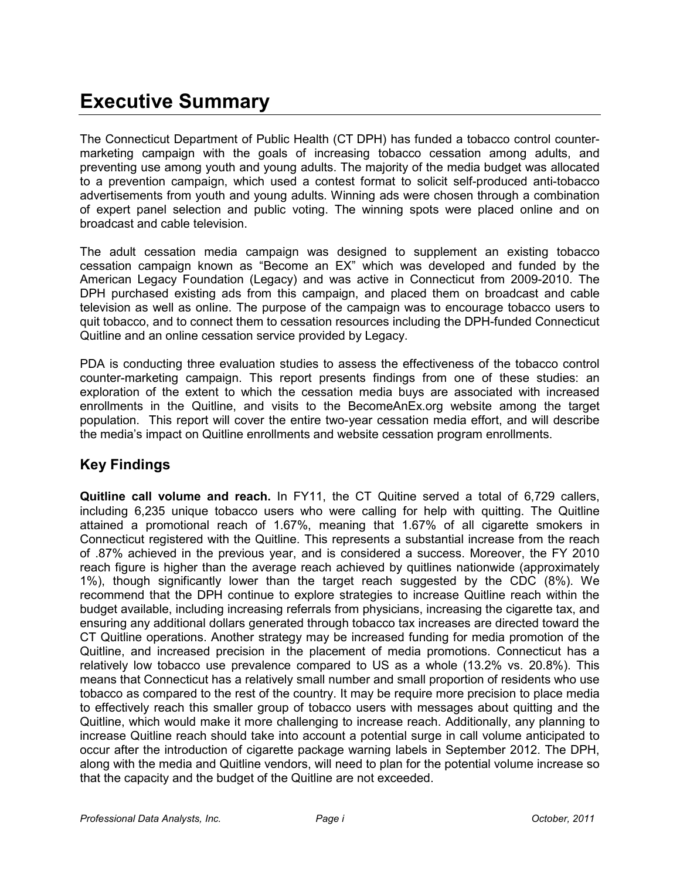# **Executive Summary**

The Connecticut Department of Public Health (CT DPH) has funded a tobacco control countermarketing campaign with the goals of increasing tobacco cessation among adults, and preventing use among youth and young adults. The majority of the media budget was allocated to a prevention campaign, which used a contest format to solicit self-produced anti-tobacco advertisements from youth and young adults. Winning ads were chosen through a combination of expert panel selection and public voting. The winning spots were placed online and on broadcast and cable television.

The adult cessation media campaign was designed to supplement an existing tobacco cessation campaign known as "Become an EX" which was developed and funded by the American Legacy Foundation (Legacy) and was active in Connecticut from 2009-2010. The DPH purchased existing ads from this campaign, and placed them on broadcast and cable television as well as online. The purpose of the campaign was to encourage tobacco users to quit tobacco, and to connect them to cessation resources including the DPH-funded Connecticut Quitline and an online cessation service provided by Legacy.

PDA is conducting three evaluation studies to assess the effectiveness of the tobacco control counter-marketing campaign. This report presents findings from one of these studies: an exploration of the extent to which the cessation media buys are associated with increased enrollments in the Quitline, and visits to the BecomeAnEx.org website among the target population. This report will cover the entire two-year cessation media effort, and will describe the media's impact on Quitline enrollments and website cessation program enrollments.

# **Key Findings**

**Quitline call volume and reach.** In FY11, the CT Quitine served a total of 6,729 callers, including 6,235 unique tobacco users who were calling for help with quitting. The Quitline attained a promotional reach of 1.67%, meaning that 1.67% of all cigarette smokers in Connecticut registered with the Quitline. This represents a substantial increase from the reach of .87% achieved in the previous year, and is considered a success. Moreover, the FY 2010 reach figure is higher than the average reach achieved by quitlines nationwide (approximately 1%), though significantly lower than the target reach suggested by the CDC (8%). We recommend that the DPH continue to explore strategies to increase Quitline reach within the budget available, including increasing referrals from physicians, increasing the cigarette tax, and ensuring any additional dollars generated through tobacco tax increases are directed toward the CT Quitline operations. Another strategy may be increased funding for media promotion of the Quitline, and increased precision in the placement of media promotions. Connecticut has a relatively low tobacco use prevalence compared to US as a whole (13.2% vs. 20.8%). This means that Connecticut has a relatively small number and small proportion of residents who use tobacco as compared to the rest of the country. It may be require more precision to place media to effectively reach this smaller group of tobacco users with messages about quitting and the Quitline, which would make it more challenging to increase reach. Additionally, any planning to increase Quitline reach should take into account a potential surge in call volume anticipated to occur after the introduction of cigarette package warning labels in September 2012. The DPH, along with the media and Quitline vendors, will need to plan for the potential volume increase so that the capacity and the budget of the Quitline are not exceeded.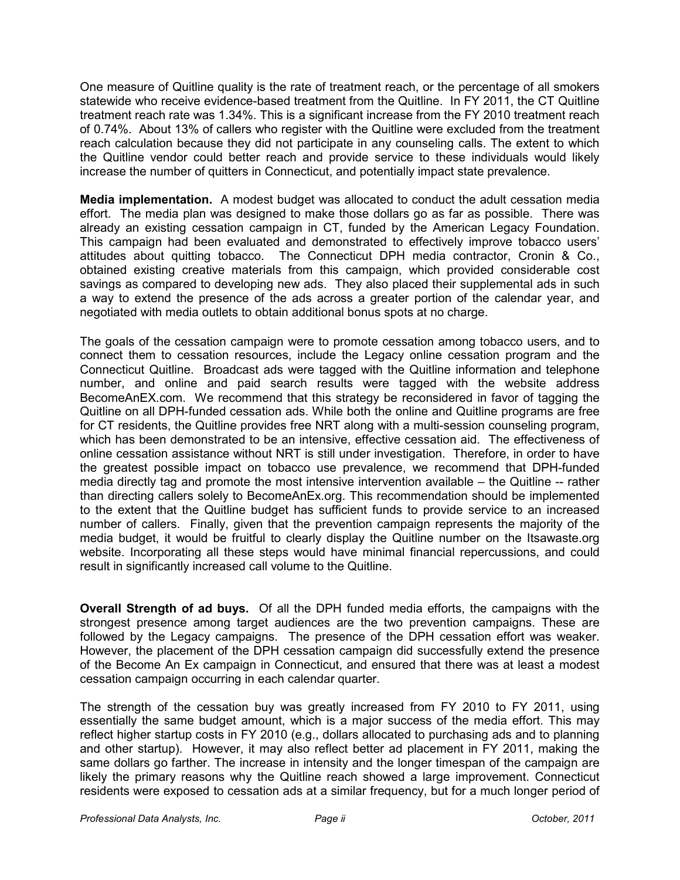One measure of Quitline quality is the rate of treatment reach, or the percentage of all smokers statewide who receive evidence-based treatment from the Quitline. In FY 2011, the CT Quitline treatment reach rate was 1.34%. This is a significant increase from the FY 2010 treatment reach of 0.74%. About 13% of callers who register with the Quitline were excluded from the treatment reach calculation because they did not participate in any counseling calls. The extent to which the Quitline vendor could better reach and provide service to these individuals would likely increase the number of quitters in Connecticut, and potentially impact state prevalence.

**Media implementation.**A modest budget was allocated to conduct the adult cessation media effort. The media plan was designed to make those dollars go as far as possible. There was already an existing cessation campaign in CT, funded by the American Legacy Foundation. This campaign had been evaluated and demonstrated to effectively improve tobacco users' attitudes about quitting tobacco. The Connecticut DPH media contractor, Cronin & Co., obtained existing creative materials from this campaign, which provided considerable cost savings as compared to developing new ads. They also placed their supplemental ads in such a way to extend the presence of the ads across a greater portion of the calendar year, and negotiated with media outlets to obtain additional bonus spots at no charge.

The goals of the cessation campaign were to promote cessation among tobacco users, and to connect them to cessation resources, include the Legacy online cessation program and the Connecticut Quitline. Broadcast ads were tagged with the Quitline information and telephone number, and online and paid search results were tagged with the website address BecomeAnEX.com. We recommend that this strategy be reconsidered in favor of tagging the Quitline on all DPH-funded cessation ads. While both the online and Quitline programs are free for CT residents, the Quitline provides free NRT along with a multi-session counseling program, which has been demonstrated to be an intensive, effective cessation aid. The effectiveness of online cessation assistance without NRT is still under investigation. Therefore, in order to have the greatest possible impact on tobacco use prevalence, we recommend that DPH-funded media directly tag and promote the most intensive intervention available – the Quitline -- rather than directing callers solely to BecomeAnEx.org. This recommendation should be implemented to the extent that the Quitline budget has sufficient funds to provide service to an increased number of callers. Finally, given that the prevention campaign represents the majority of the media budget, it would be fruitful to clearly display the Quitline number on the Itsawaste.org website. Incorporating all these steps would have minimal financial repercussions, and could result in significantly increased call volume to the Quitline.

**Overall Strength of ad buys.** Of all the DPH funded media efforts, the campaigns with the strongest presence among target audiences are the two prevention campaigns. These are followed by the Legacy campaigns. The presence of the DPH cessation effort was weaker. However, the placement of the DPH cessation campaign did successfully extend the presence of the Become An Ex campaign in Connecticut, and ensured that there was at least a modest cessation campaign occurring in each calendar quarter.

The strength of the cessation buy was greatly increased from FY 2010 to FY 2011, using essentially the same budget amount, which is a major success of the media effort. This may reflect higher startup costs in FY 2010 (e.g., dollars allocated to purchasing ads and to planning and other startup). However, it may also reflect better ad placement in FY 2011, making the same dollars go farther. The increase in intensity and the longer timespan of the campaign are likely the primary reasons why the Quitline reach showed a large improvement. Connecticut residents were exposed to cessation ads at a similar frequency, but for a much longer period of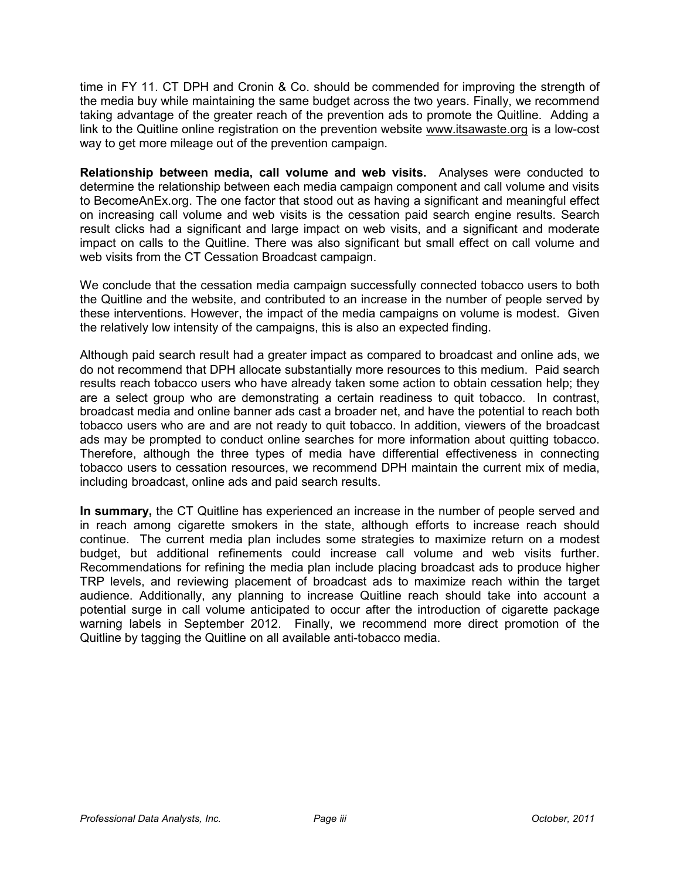time in FY 11. CT DPH and Cronin & Co. should be commended for improving the strength of the media buy while maintaining the same budget across the two years. Finally, we recommend taking advantage of the greater reach of the prevention ads to promote the Quitline. Adding a link to the Quitline online registration on the prevention website www.itsawaste.org is a low-cost way to get more mileage out of the prevention campaign.

**Relationship between media, call volume and web visits.** Analyses were conducted to determine the relationship between each media campaign component and call volume and visits to BecomeAnEx.org. The one factor that stood out as having a significant and meaningful effect on increasing call volume and web visits is the cessation paid search engine results. Search result clicks had a significant and large impact on web visits, and a significant and moderate impact on calls to the Quitline. There was also significant but small effect on call volume and web visits from the CT Cessation Broadcast campaign.

We conclude that the cessation media campaign successfully connected tobacco users to both the Quitline and the website, and contributed to an increase in the number of people served by these interventions. However, the impact of the media campaigns on volume is modest. Given the relatively low intensity of the campaigns, this is also an expected finding.

Although paid search result had a greater impact as compared to broadcast and online ads, we do not recommend that DPH allocate substantially more resources to this medium. Paid search results reach tobacco users who have already taken some action to obtain cessation help; they are a select group who are demonstrating a certain readiness to quit tobacco. In contrast, broadcast media and online banner ads cast a broader net, and have the potential to reach both tobacco users who are and are not ready to quit tobacco. In addition, viewers of the broadcast ads may be prompted to conduct online searches for more information about quitting tobacco. Therefore, although the three types of media have differential effectiveness in connecting tobacco users to cessation resources, we recommend DPH maintain the current mix of media, including broadcast, online ads and paid search results.

**In summary,** the CT Quitline has experienced an increase in the number of people served and in reach among cigarette smokers in the state, although efforts to increase reach should continue. The current media plan includes some strategies to maximize return on a modest budget, but additional refinements could increase call volume and web visits further. Recommendations for refining the media plan include placing broadcast ads to produce higher TRP levels, and reviewing placement of broadcast ads to maximize reach within the target audience. Additionally, any planning to increase Quitline reach should take into account a potential surge in call volume anticipated to occur after the introduction of cigarette package warning labels in September 2012. Finally, we recommend more direct promotion of the Quitline by tagging the Quitline on all available anti-tobacco media.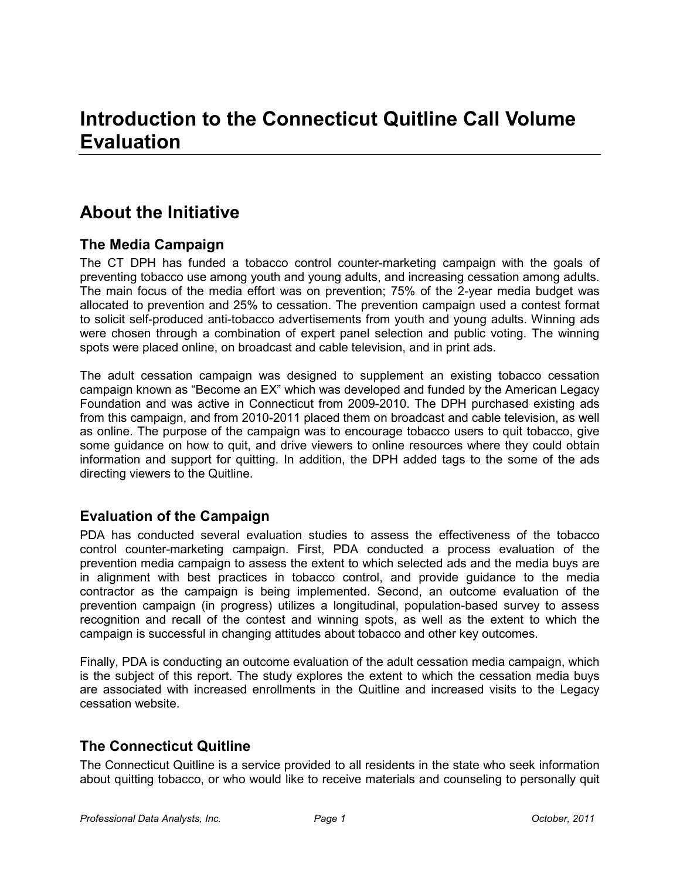# **About the Initiative**

# **The Media Campaign**

The CT DPH has funded a tobacco control counter-marketing campaign with the goals of preventing tobacco use among youth and young adults, and increasing cessation among adults. The main focus of the media effort was on prevention; 75% of the 2-year media budget was allocated to prevention and 25% to cessation. The prevention campaign used a contest format to solicit self-produced anti-tobacco advertisements from youth and young adults. Winning ads were chosen through a combination of expert panel selection and public voting. The winning spots were placed online, on broadcast and cable television, and in print ads.

The adult cessation campaign was designed to supplement an existing tobacco cessation campaign known as "Become an EX" which was developed and funded by the American Legacy Foundation and was active in Connecticut from 2009-2010. The DPH purchased existing ads from this campaign, and from 2010-2011 placed them on broadcast and cable television, as well as online. The purpose of the campaign was to encourage tobacco users to quit tobacco, give some guidance on how to quit, and drive viewers to online resources where they could obtain information and support for quitting. In addition, the DPH added tags to the some of the ads directing viewers to the Quitline.

# **Evaluation of the Campaign**

PDA has conducted several evaluation studies to assess the effectiveness of the tobacco control counter-marketing campaign. First, PDA conducted a process evaluation of the prevention media campaign to assess the extent to which selected ads and the media buys are in alignment with best practices in tobacco control, and provide guidance to the media contractor as the campaign is being implemented. Second, an outcome evaluation of the prevention campaign (in progress) utilizes a longitudinal, population-based survey to assess recognition and recall of the contest and winning spots, as well as the extent to which the campaign is successful in changing attitudes about tobacco and other key outcomes.

Finally, PDA is conducting an outcome evaluation of the adult cessation media campaign, which is the subject of this report. The study explores the extent to which the cessation media buys are associated with increased enrollments in the Quitline and increased visits to the Legacy cessation website.

# **The Connecticut Quitline**

The Connecticut Quitline is a service provided to all residents in the state who seek information about quitting tobacco, or who would like to receive materials and counseling to personally quit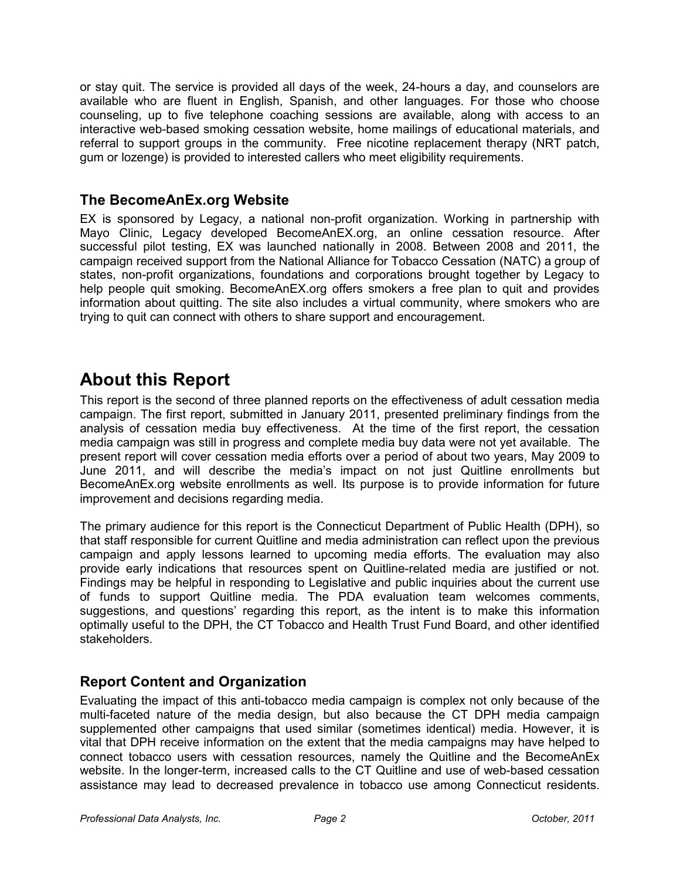or stay quit. The service is provided all days of the week, 24-hours a day, and counselors are available who are fluent in English, Spanish, and other languages. For those who choose counseling, up to five telephone coaching sessions are available, along with access to an interactive web-based smoking cessation website, home mailings of educational materials, and referral to support groups in the community. Free nicotine replacement therapy (NRT patch, gum or lozenge) is provided to interested callers who meet eligibility requirements.

# **The BecomeAnEx.org Website**

EX is sponsored by Legacy, a national non-profit organization. Working in partnership with Mayo Clinic, Legacy developed BecomeAnEX.org, an online cessation resource. After successful pilot testing, EX was launched nationally in 2008. Between 2008 and 2011, the campaign received support from the National Alliance for Tobacco Cessation (NATC) a group of states, non-profit organizations, foundations and corporations brought together by Legacy to help people quit smoking. BecomeAnEX.org offers smokers a free plan to quit and provides information about quitting. The site also includes a virtual community, where smokers who are trying to quit can connect with others to share support and encouragement.

# **About this Report**

This report is the second of three planned reports on the effectiveness of adult cessation media campaign. The first report, submitted in January 2011, presented preliminary findings from the analysis of cessation media buy effectiveness. At the time of the first report, the cessation media campaign was still in progress and complete media buy data were not yet available. The present report will cover cessation media efforts over a period of about two years, May 2009 to June 2011, and will describe the media's impact on not just Quitline enrollments but BecomeAnEx.org website enrollments as well. Its purpose is to provide information for future improvement and decisions regarding media.

The primary audience for this report is the Connecticut Department of Public Health (DPH), so that staff responsible for current Quitline and media administration can reflect upon the previous campaign and apply lessons learned to upcoming media efforts. The evaluation may also provide early indications that resources spent on Quitline-related media are justified or not. Findings may be helpful in responding to Legislative and public inquiries about the current use of funds to support Quitline media. The PDA evaluation team welcomes comments, suggestions, and questions' regarding this report, as the intent is to make this information optimally useful to the DPH, the CT Tobacco and Health Trust Fund Board, and other identified stakeholders.

# **Report Content and Organization**

Evaluating the impact of this anti-tobacco media campaign is complex not only because of the multi-faceted nature of the media design, but also because the CT DPH media campaign supplemented other campaigns that used similar (sometimes identical) media. However, it is vital that DPH receive information on the extent that the media campaigns may have helped to connect tobacco users with cessation resources, namely the Quitline and the BecomeAnEx website. In the longer-term, increased calls to the CT Quitline and use of web-based cessation assistance may lead to decreased prevalence in tobacco use among Connecticut residents.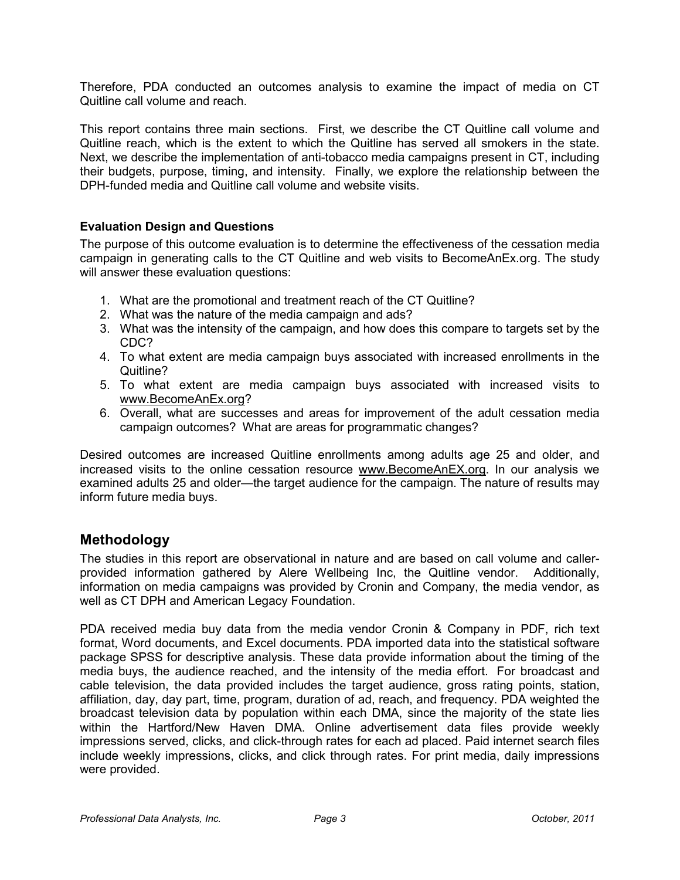Therefore, PDA conducted an outcomes analysis to examine the impact of media on CT Quitline call volume and reach.

This report contains three main sections. First, we describe the CT Quitline call volume and Quitline reach, which is the extent to which the Quitline has served all smokers in the state. Next, we describe the implementation of anti-tobacco media campaigns present in CT, including their budgets, purpose, timing, and intensity. Finally, we explore the relationship between the DPH-funded media and Quitline call volume and website visits.

#### **Evaluation Design and Questions**

The purpose of this outcome evaluation is to determine the effectiveness of the cessation media campaign in generating calls to the CT Quitline and web visits to BecomeAnEx.org. The study will answer these evaluation questions:

- 1. What are the promotional and treatment reach of the CT Quitline?
- 2. What was the nature of the media campaign and ads?
- 3. What was the intensity of the campaign, and how does this compare to targets set by the CDC?
- 4. To what extent are media campaign buys associated with increased enrollments in the Quitline?
- 5. To what extent are media campaign buys associated with increased visits to www.BecomeAnEx.org?
- 6. Overall, what are successes and areas for improvement of the adult cessation media campaign outcomes? What are areas for programmatic changes?

Desired outcomes are increased Quitline enrollments among adults age 25 and older, and increased visits to the online cessation resource www.BecomeAnEX.org. In our analysis we examined adults 25 and older—the target audience for the campaign. The nature of results may inform future media buys.

# **Methodology**

The studies in this report are observational in nature and are based on call volume and callerprovided information gathered by Alere Wellbeing Inc, the Quitline vendor. Additionally, information on media campaigns was provided by Cronin and Company, the media vendor, as well as CT DPH and American Legacy Foundation.

PDA received media buy data from the media vendor Cronin & Company in PDF, rich text format, Word documents, and Excel documents. PDA imported data into the statistical software package SPSS for descriptive analysis. These data provide information about the timing of the media buys, the audience reached, and the intensity of the media effort. For broadcast and cable television, the data provided includes the target audience, gross rating points, station, affiliation, day, day part, time, program, duration of ad, reach, and frequency. PDA weighted the broadcast television data by population within each DMA, since the majority of the state lies within the Hartford/New Haven DMA. Online advertisement data files provide weekly impressions served, clicks, and click-through rates for each ad placed. Paid internet search files include weekly impressions, clicks, and click through rates. For print media, daily impressions were provided.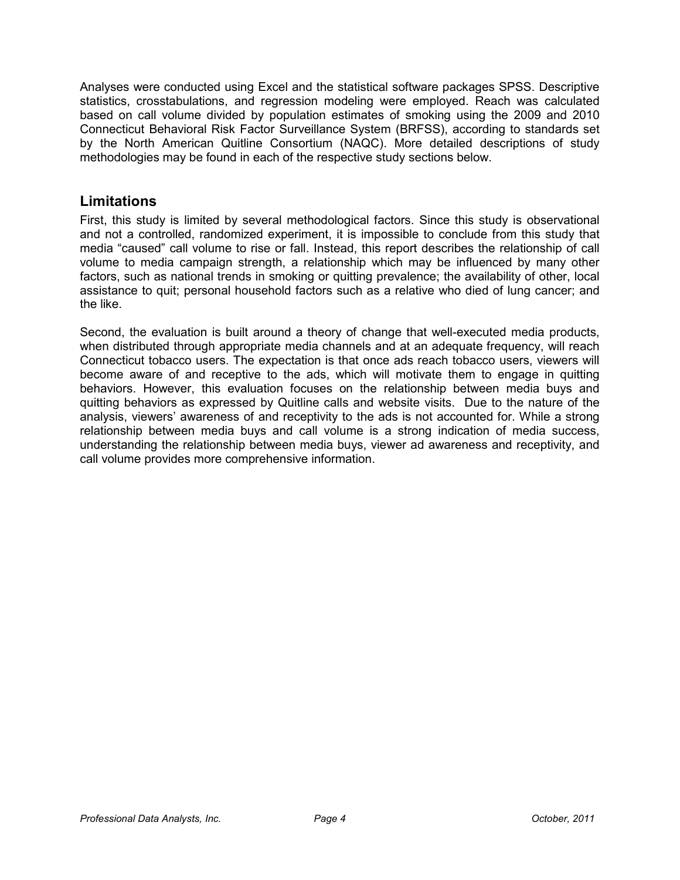Analyses were conducted using Excel and the statistical software packages SPSS. Descriptive statistics, crosstabulations, and regression modeling were employed. Reach was calculated based on call volume divided by population estimates of smoking using the 2009 and 2010 Connecticut Behavioral Risk Factor Surveillance System (BRFSS), according to standards set by the North American Quitline Consortium (NAQC). More detailed descriptions of study methodologies may be found in each of the respective study sections below.

### **Limitations**

First, this study is limited by several methodological factors. Since this study is observational and not a controlled, randomized experiment, it is impossible to conclude from this study that media "caused" call volume to rise or fall. Instead, this report describes the relationship of call volume to media campaign strength, a relationship which may be influenced by many other factors, such as national trends in smoking or quitting prevalence; the availability of other, local assistance to quit; personal household factors such as a relative who died of lung cancer; and the like.

Second, the evaluation is built around a theory of change that well-executed media products, when distributed through appropriate media channels and at an adequate frequency, will reach Connecticut tobacco users. The expectation is that once ads reach tobacco users, viewers will become aware of and receptive to the ads, which will motivate them to engage in quitting behaviors. However, this evaluation focuses on the relationship between media buys and quitting behaviors as expressed by Quitline calls and website visits. Due to the nature of the analysis, viewers' awareness of and receptivity to the ads is not accounted for. While a strong relationship between media buys and call volume is a strong indication of media success, understanding the relationship between media buys, viewer ad awareness and receptivity, and call volume provides more comprehensive information.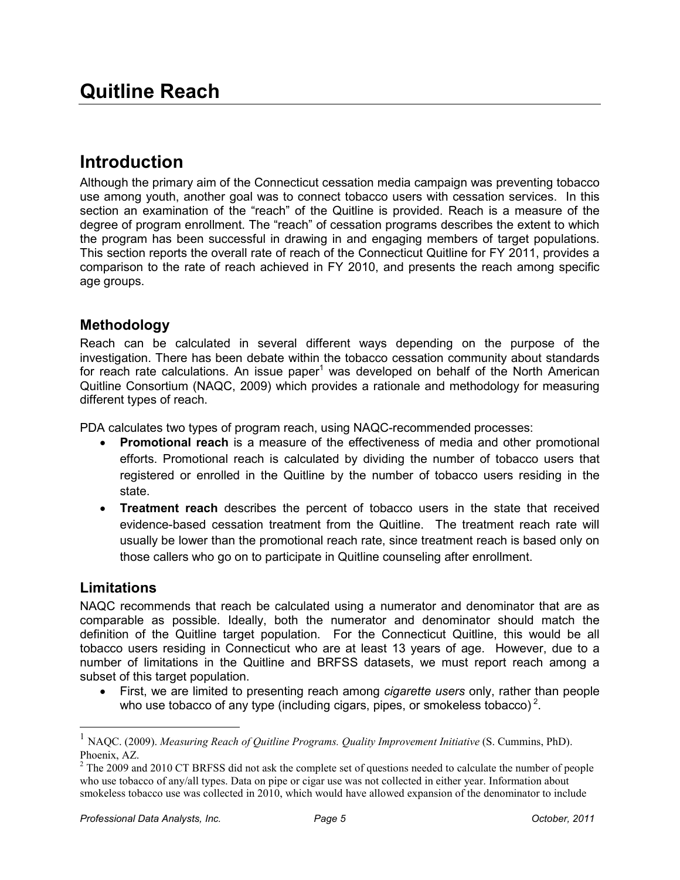# **Introduction**

Although the primary aim of the Connecticut cessation media campaign was preventing tobacco use among youth, another goal was to connect tobacco users with cessation services. In this section an examination of the "reach" of the Quitline is provided. Reach is a measure of the degree of program enrollment. The "reach" of cessation programs describes the extent to which the program has been successful in drawing in and engaging members of target populations. This section reports the overall rate of reach of the Connecticut Quitline for FY 2011, provides a comparison to the rate of reach achieved in FY 2010, and presents the reach among specific age groups.

# **Methodology**

Reach can be calculated in several different ways depending on the purpose of the investigation. There has been debate within the tobacco cessation community about standards for reach rate calculations. An issue paper<sup>1</sup> was developed on behalf of the North American Quitline Consortium (NAQC, 2009) which provides a rationale and methodology for measuring different types of reach.

PDA calculates two types of program reach, using NAQC-recommended processes:

- **Promotional reach** is a measure of the effectiveness of media and other promotional efforts. Promotional reach is calculated by dividing the number of tobacco users that registered or enrolled in the Quitline by the number of tobacco users residing in the state.
- **Treatment reach** describes the percent of tobacco users in the state that received evidence-based cessation treatment from the Quitline. The treatment reach rate will usually be lower than the promotional reach rate, since treatment reach is based only on those callers who go on to participate in Quitline counseling after enrollment.

# **Limitations**

-

NAQC recommends that reach be calculated using a numerator and denominator that are as comparable as possible. Ideally, both the numerator and denominator should match the definition of the Quitline target population. For the Connecticut Quitline, this would be all tobacco users residing in Connecticut who are at least 13 years of age. However, due to a number of limitations in the Quitline and BRFSS datasets, we must report reach among a subset of this target population.

• First, we are limited to presenting reach among *cigarette users* only, rather than people who use tobacco of any type (including cigars, pipes, or smokeless tobacco)<sup>2</sup>.

<sup>1</sup> NAQC. (2009). *Measuring Reach of Quitline Programs. Quality Improvement Initiative* (S. Cummins, PhD). Phoenix, AZ.

 $2$  The 2009 and 2010 CT BRFSS did not ask the complete set of questions needed to calculate the number of people who use tobacco of any/all types. Data on pipe or cigar use was not collected in either year. Information about smokeless tobacco use was collected in 2010, which would have allowed expansion of the denominator to include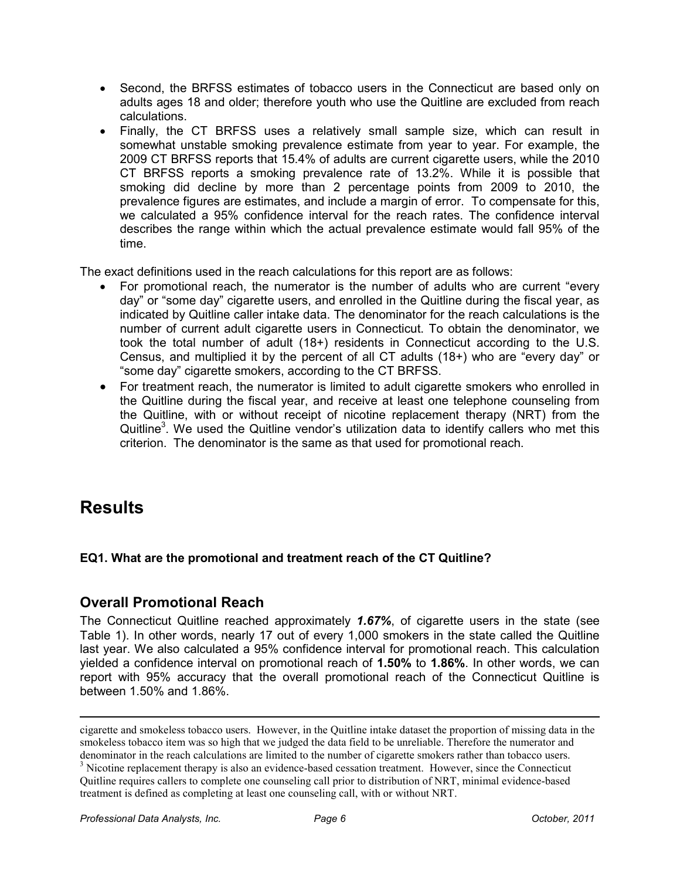- Second, the BRFSS estimates of tobacco users in the Connecticut are based only on adults ages 18 and older; therefore youth who use the Quitline are excluded from reach calculations.
- Finally, the CT BRFSS uses a relatively small sample size, which can result in somewhat unstable smoking prevalence estimate from year to year. For example, the 2009 CT BRFSS reports that 15.4% of adults are current cigarette users, while the 2010 CT BRFSS reports a smoking prevalence rate of 13.2%. While it is possible that smoking did decline by more than 2 percentage points from 2009 to 2010, the prevalence figures are estimates, and include a margin of error. To compensate for this, we calculated a 95% confidence interval for the reach rates. The confidence interval describes the range within which the actual prevalence estimate would fall 95% of the time.

The exact definitions used in the reach calculations for this report are as follows:

- For promotional reach, the numerator is the number of adults who are current "every day" or "some day" cigarette users, and enrolled in the Quitline during the fiscal year, as indicated by Quitline caller intake data. The denominator for the reach calculations is the number of current adult cigarette users in Connecticut. To obtain the denominator, we took the total number of adult (18+) residents in Connecticut according to the U.S. Census, and multiplied it by the percent of all CT adults (18+) who are "every day" or "some day" cigarette smokers, according to the CT BRFSS.
- For treatment reach, the numerator is limited to adult cigarette smokers who enrolled in the Quitline during the fiscal year, and receive at least one telephone counseling from the Quitline, with or without receipt of nicotine replacement therapy (NRT) from the Quitline<sup>3</sup>. We used the Quitline vendor's utilization data to identify callers who met this criterion. The denominator is the same as that used for promotional reach.

# **Results**

-

# **EQ1. What are the promotional and treatment reach of the CT Quitline?**

# **Overall Promotional Reach**

The Connecticut Quitline reached approximately *1.67%*, of cigarette users in the state (see Table 1). In other words, nearly 17 out of every 1,000 smokers in the state called the Quitline last year. We also calculated a 95% confidence interval for promotional reach. This calculation yielded a confidence interval on promotional reach of **1.50%** to **1.86%**. In other words, we can report with 95% accuracy that the overall promotional reach of the Connecticut Quitline is between 1.50% and 1.86%.

cigarette and smokeless tobacco users. However, in the Quitline intake dataset the proportion of missing data in the smokeless tobacco item was so high that we judged the data field to be unreliable. Therefore the numerator and denominator in the reach calculations are limited to the number of cigarette smokers rather than tobacco users. <sup>3</sup> Nicotine replacement therapy is also an evidence-based cessation treatment. However, since the Connecticut

Quitline requires callers to complete one counseling call prior to distribution of NRT, minimal evidence-based treatment is defined as completing at least one counseling call, with or without NRT.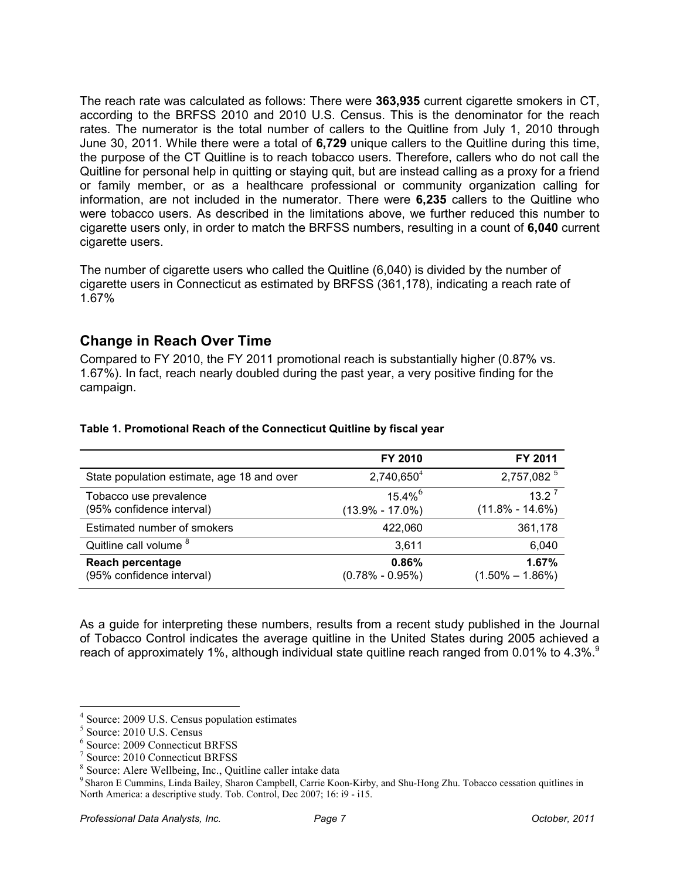The reach rate was calculated as follows: There were **363,935** current cigarette smokers in CT, according to the BRFSS 2010 and 2010 U.S. Census. This is the denominator for the reach rates. The numerator is the total number of callers to the Quitline from July 1, 2010 through June 30, 2011. While there were a total of **6,729** unique callers to the Quitline during this time, the purpose of the CT Quitline is to reach tobacco users. Therefore, callers who do not call the Quitline for personal help in quitting or staying quit, but are instead calling as a proxy for a friend or family member, or as a healthcare professional or community organization calling for information, are not included in the numerator. There were **6,235** callers to the Quitline who were tobacco users. As described in the limitations above, we further reduced this number to cigarette users only, in order to match the BRFSS numbers, resulting in a count of **6,040** current cigarette users.

The number of cigarette users who called the Quitline (6,040) is divided by the number of cigarette users in Connecticut as estimated by BRFSS (361,178), indicating a reach rate of 1.67%

# **Change in Reach Over Time**

Compared to FY 2010, the FY 2011 promotional reach is substantially higher (0.87% vs. 1.67%). In fact, reach nearly doubled during the past year, a very positive finding for the campaign.

|                                                      | FY 2010                                      | FY 2011                                     |
|------------------------------------------------------|----------------------------------------------|---------------------------------------------|
| State population estimate, age 18 and over           | $2,740,650^4$                                | 2,757,082 $^5$                              |
| Tobacco use prevalence<br>(95% confidence interval)  | $15.4\%$ <sup>6</sup><br>$(13.9\% - 17.0\%)$ | $13.2^{\frac{7}{2}}$<br>$(11.8\% - 14.6\%)$ |
| Estimated number of smokers                          | 422,060                                      | 361,178                                     |
| Quitline call volume <sup>8</sup>                    | 3,611                                        | 6,040                                       |
| <b>Reach percentage</b><br>(95% confidence interval) | 0.86%<br>$(0.78\% - 0.95\%)$                 | 1.67%<br>$(1.50\% - 1.86\%)$                |

#### **Table 1. Promotional Reach of the Connecticut Quitline by fiscal year**

As a guide for interpreting these numbers, results from a recent study published in the Journal of Tobacco Control indicates the average quitline in the United States during 2005 achieved a reach of approximately 1%, although individual state quitline reach ranged from 0.01% to 4.3%.<sup>9</sup>

<u>.</u>

<sup>4</sup> Source: 2009 U.S. Census population estimates

<sup>5</sup> Source: 2010 U.S. Census

<sup>6</sup> Source: 2009 Connecticut BRFSS

<sup>7</sup> Source: 2010 Connecticut BRFSS

<sup>8</sup> Source: Alere Wellbeing, Inc., Quitline caller intake data

<sup>&</sup>lt;sup>9</sup> Sharon E Cummins, Linda Bailey, Sharon Campbell, Carrie Koon-Kirby, and Shu-Hong Zhu. Tobacco cessation quitlines in North America: a descriptive study. Tob. Control, Dec 2007; 16: i9 - i15.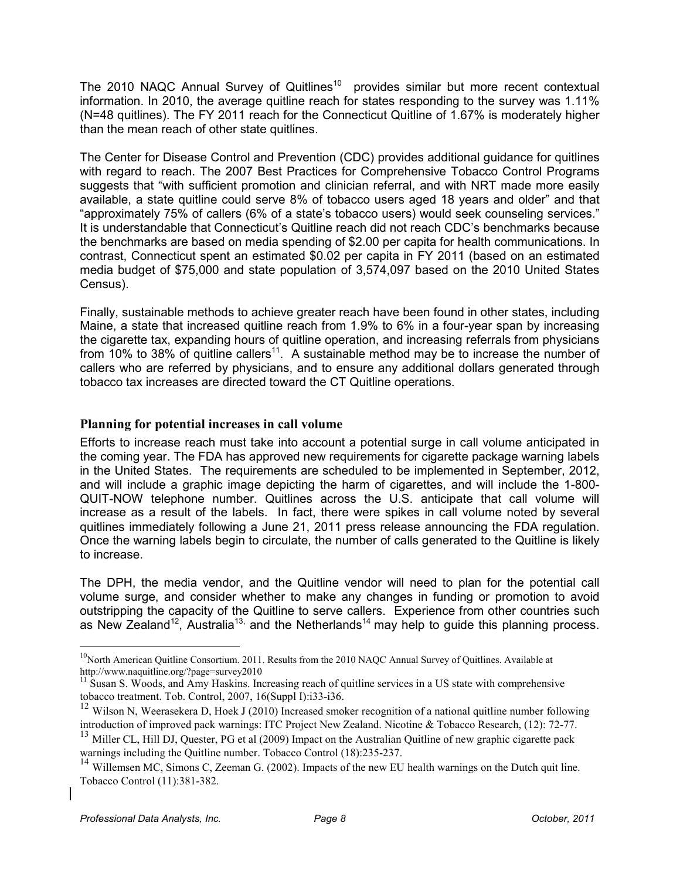The 2010 NAQC Annual Survey of Quitlines<sup>10</sup> provides similar but more recent contextual information. In 2010, the average quitline reach for states responding to the survey was 1.11% (N=48 quitlines). The FY 2011 reach for the Connecticut Quitline of 1.67% is moderately higher than the mean reach of other state quitlines.

The Center for Disease Control and Prevention (CDC) provides additional guidance for quitlines with regard to reach. The 2007 Best Practices for Comprehensive Tobacco Control Programs suggests that "with sufficient promotion and clinician referral, and with NRT made more easily available, a state quitline could serve 8% of tobacco users aged 18 years and older" and that "approximately 75% of callers (6% of a state's tobacco users) would seek counseling services." It is understandable that Connecticut's Quitline reach did not reach CDC's benchmarks because the benchmarks are based on media spending of \$2.00 per capita for health communications. In contrast, Connecticut spent an estimated \$0.02 per capita in FY 2011 (based on an estimated media budget of \$75,000 and state population of 3,574,097 based on the 2010 United States Census).

Finally, sustainable methods to achieve greater reach have been found in other states, including Maine, a state that increased quitline reach from 1.9% to 6% in a four-year span by increasing the cigarette tax, expanding hours of quitline operation, and increasing referrals from physicians from 10% to 38% of quitline callers<sup>11</sup>. A sustainable method may be to increase the number of callers who are referred by physicians, and to ensure any additional dollars generated through tobacco tax increases are directed toward the CT Quitline operations.

### **Planning for potential increases in call volume**

Efforts to increase reach must take into account a potential surge in call volume anticipated in the coming year. The FDA has approved new requirements for cigarette package warning labels in the United States. The requirements are scheduled to be implemented in September, 2012, and will include a graphic image depicting the harm of cigarettes, and will include the 1-800- QUIT-NOW telephone number. Quitlines across the U.S. anticipate that call volume will increase as a result of the labels. In fact, there were spikes in call volume noted by several quitlines immediately following a June 21, 2011 press release announcing the FDA regulation. Once the warning labels begin to circulate, the number of calls generated to the Quitline is likely to increase.

The DPH, the media vendor, and the Quitline vendor will need to plan for the potential call volume surge, and consider whether to make any changes in funding or promotion to avoid outstripping the capacity of the Quitline to serve callers. Experience from other countries such as New Zealand<sup>12</sup>, Australia<sup>13,</sup> and the Netherlands<sup>14</sup> may help to guide this planning process.

<u>.</u>

 $10$ North American Quitline Consortium. 2011. Results from the 2010 NAQC Annual Survey of Quitlines. Available at http://www.naquitline.org/?page=survey2010

 $<sup>11</sup>$  Susan S. Woods, and Amy Haskins. Increasing reach of quittine services in a US state with comprehensive</sup> tobacco treatment. Tob. Control, 2007, 16(Suppl I):i33-i36.

<sup>&</sup>lt;sup>12</sup> Wilson N, Weerasekera D, Hoek J (2010) Increased smoker recognition of a national quitline number following introduction of improved pack warnings: ITC Project New Zealand. Nicotine & Tobacco Research, (12): 72-77.

<sup>&</sup>lt;sup>13</sup> Miller CL, Hill DJ, Quester, PG et al (2009) Impact on the Australian Quitline of new graphic cigarette pack warnings including the Quitline number. Tobacco Control (18):235-237.

<sup>&</sup>lt;sup>14</sup> Willemsen MC, Simons C, Zeeman G. (2002). Impacts of the new EU health warnings on the Dutch quit line. Tobacco Control (11):381-382.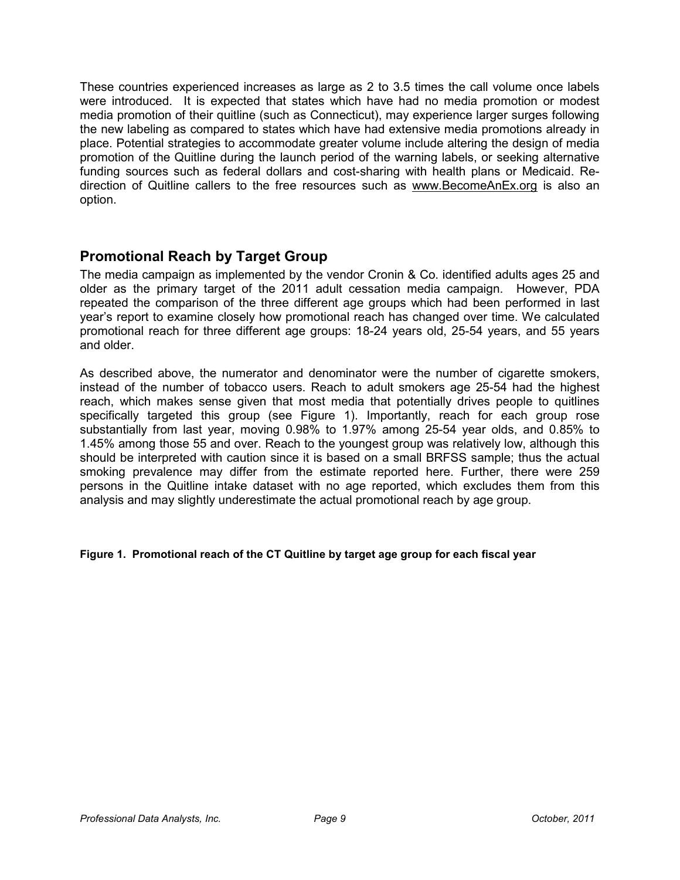These countries experienced increases as large as 2 to 3.5 times the call volume once labels were introduced. It is expected that states which have had no media promotion or modest media promotion of their quitline (such as Connecticut), may experience larger surges following the new labeling as compared to states which have had extensive media promotions already in place. Potential strategies to accommodate greater volume include altering the design of media promotion of the Quitline during the launch period of the warning labels, or seeking alternative funding sources such as federal dollars and cost-sharing with health plans or Medicaid. Redirection of Quitline callers to the free resources such as www.BecomeAnEx.org is also an option.

# **Promotional Reach by Target Group**

The media campaign as implemented by the vendor Cronin & Co. identified adults ages 25 and older as the primary target of the 2011 adult cessation media campaign. However, PDA repeated the comparison of the three different age groups which had been performed in last year's report to examine closely how promotional reach has changed over time. We calculated promotional reach for three different age groups: 18-24 years old, 25-54 years, and 55 years and older.

As described above, the numerator and denominator were the number of cigarette smokers, instead of the number of tobacco users. Reach to adult smokers age 25-54 had the highest reach, which makes sense given that most media that potentially drives people to quitlines specifically targeted this group (see Figure 1). Importantly, reach for each group rose substantially from last year, moving 0.98% to 1.97% among 25-54 year olds, and 0.85% to 1.45% among those 55 and over. Reach to the youngest group was relatively low, although this should be interpreted with caution since it is based on a small BRFSS sample; thus the actual smoking prevalence may differ from the estimate reported here. Further, there were 259 persons in the Quitline intake dataset with no age reported, which excludes them from this analysis and may slightly underestimate the actual promotional reach by age group.

#### **Figure 1. Promotional reach of the CT Quitline by target age group for each fiscal year**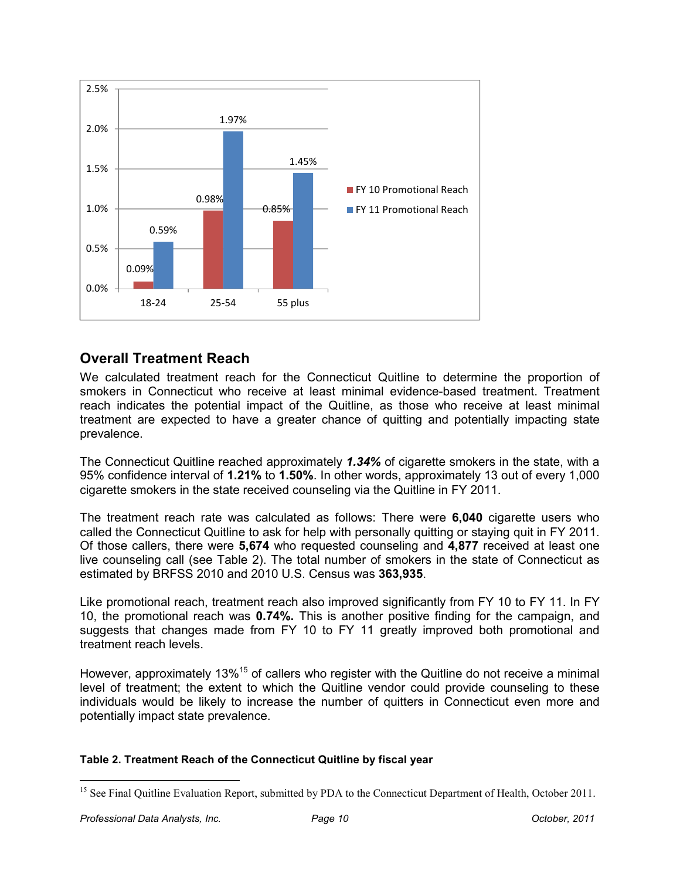

# **Overall Treatment Reach**

We calculated treatment reach for the Connecticut Quitline to determine the proportion of smokers in Connecticut who receive at least minimal evidence-based treatment. Treatment reach indicates the potential impact of the Quitline, as those who receive at least minimal treatment are expected to have a greater chance of quitting and potentially impacting state prevalence.

The Connecticut Quitline reached approximately *1.34%* of cigarette smokers in the state, with a 95% confidence interval of **1.21%** to **1.50%**. In other words, approximately 13 out of every 1,000 cigarette smokers in the state received counseling via the Quitline in FY 2011.

The treatment reach rate was calculated as follows: There were **6,040** cigarette users who called the Connecticut Quitline to ask for help with personally quitting or staying quit in FY 2011. Of those callers, there were **5,674** who requested counseling and **4,877** received at least one live counseling call (see Table 2). The total number of smokers in the state of Connecticut as estimated by BRFSS 2010 and 2010 U.S. Census was **363,935**.

Like promotional reach, treatment reach also improved significantly from FY 10 to FY 11. In FY 10, the promotional reach was **0.74%.** This is another positive finding for the campaign, and suggests that changes made from FY 10 to FY 11 greatly improved both promotional and treatment reach levels.

However, approximately 13%<sup>15</sup> of callers who register with the Quitline do not receive a minimal level of treatment; the extent to which the Quitline vendor could provide counseling to these individuals would be likely to increase the number of quitters in Connecticut even more and potentially impact state prevalence.

#### **Table 2. Treatment Reach of the Connecticut Quitline by fiscal year**

<sup>&</sup>lt;u>.</u> <sup>15</sup> See Final Quitline Evaluation Report, submitted by PDA to the Connecticut Department of Health, October 2011.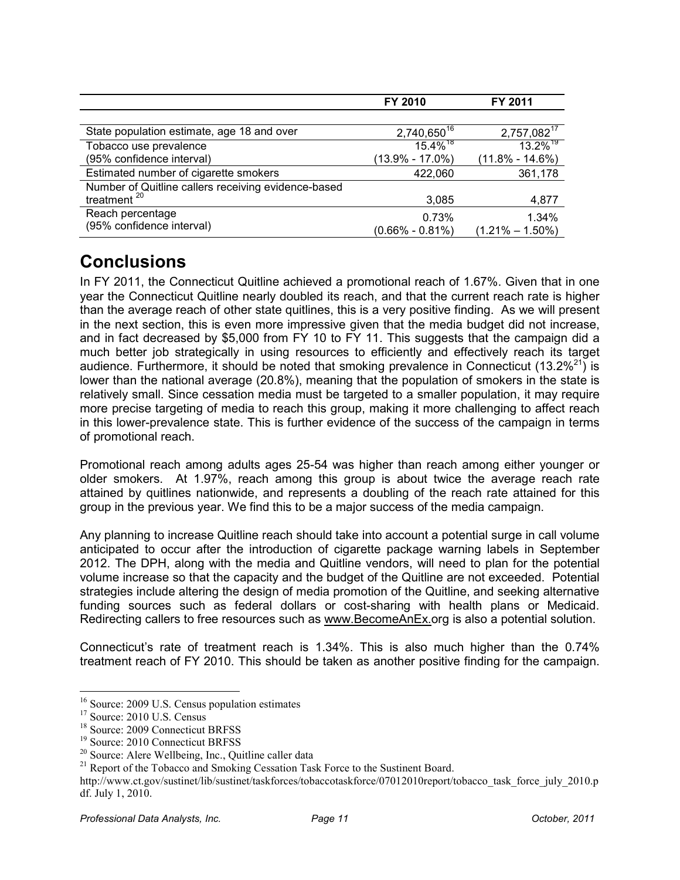|                                                     | FY 2010                 | FY 2011                 |
|-----------------------------------------------------|-------------------------|-------------------------|
|                                                     |                         |                         |
| State population estimate, age 18 and over          | 2,740,650 <sup>16</sup> | 2,757,082 <sup>17</sup> |
| Tobacco use prevalence                              | $15.4\%$ <sup>18</sup>  | $13.2\%$ <sup>19</sup>  |
| (95% confidence interval)                           | $(13.9\% - 17.0\%)$     | $(11.8\% - 14.6\%)$     |
| Estimated number of cigarette smokers               | 422,060                 | 361,178                 |
| Number of Quitline callers receiving evidence-based |                         |                         |
| treatment <sup>20</sup>                             | 3,085                   | 4,877                   |
| Reach percentage                                    | 0.73%                   | 1.34%                   |
| (95% confidence interval)                           | $(0.66\% - 0.81\%)$     | $(1.21\% - 1.50\%)$     |

# **Conclusions**

In FY 2011, the Connecticut Quitline achieved a promotional reach of 1.67%. Given that in one year the Connecticut Quitline nearly doubled its reach, and that the current reach rate is higher than the average reach of other state quitlines, this is a very positive finding. As we will present in the next section, this is even more impressive given that the media budget did not increase, and in fact decreased by \$5,000 from FY 10 to FY 11. This suggests that the campaign did a much better job strategically in using resources to efficiently and effectively reach its target audience. Furthermore, it should be noted that smoking prevalence in Connecticut (13.2%<sup>21</sup>) is lower than the national average (20.8%), meaning that the population of smokers in the state is relatively small. Since cessation media must be targeted to a smaller population, it may require more precise targeting of media to reach this group, making it more challenging to affect reach in this lower-prevalence state. This is further evidence of the success of the campaign in terms of promotional reach.

Promotional reach among adults ages 25-54 was higher than reach among either younger or older smokers. At 1.97%, reach among this group is about twice the average reach rate attained by quitlines nationwide, and represents a doubling of the reach rate attained for this group in the previous year. We find this to be a major success of the media campaign.

Any planning to increase Quitline reach should take into account a potential surge in call volume anticipated to occur after the introduction of cigarette package warning labels in September 2012. The DPH, along with the media and Quitline vendors, will need to plan for the potential volume increase so that the capacity and the budget of the Quitline are not exceeded. Potential strategies include altering the design of media promotion of the Quitline, and seeking alternative funding sources such as federal dollars or cost-sharing with health plans or Medicaid. Redirecting callers to free resources such as www.BecomeAnEx.org is also a potential solution.

Connecticut's rate of treatment reach is 1.34%. This is also much higher than the 0.74% treatment reach of FY 2010. This should be taken as another positive finding for the campaign.

-

<sup>&</sup>lt;sup>16</sup> Source: 2009 U.S. Census population estimates

<sup>&</sup>lt;sup>17</sup> Source: 2010 U.S. Census

<sup>18</sup> Source: 2009 Connecticut BRFSS

<sup>19</sup> Source: 2010 Connecticut BRFSS

<sup>&</sup>lt;sup>20</sup> Source: Alere Wellbeing, Inc., Quitline caller data

<sup>&</sup>lt;sup>21</sup> Report of the Tobacco and Smoking Cessation Task Force to the Sustinent Board.

http://www.ct.gov/sustinet/lib/sustinet/taskforces/tobaccotaskforce/07012010report/tobacco\_task\_force\_july\_2010.p df. July 1, 2010.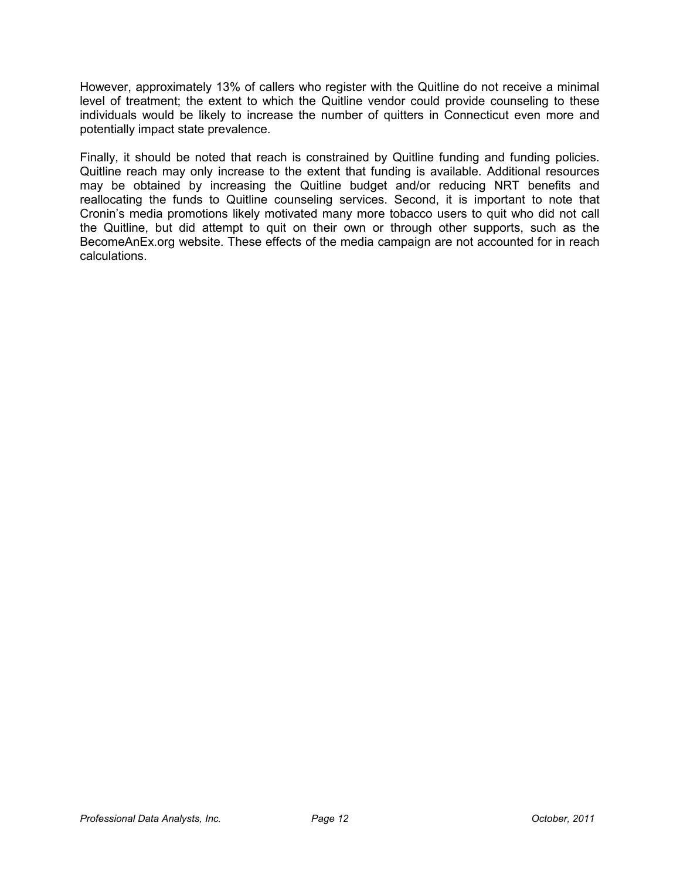However, approximately 13% of callers who register with the Quitline do not receive a minimal level of treatment; the extent to which the Quitline vendor could provide counseling to these individuals would be likely to increase the number of quitters in Connecticut even more and potentially impact state prevalence.

Finally, it should be noted that reach is constrained by Quitline funding and funding policies. Quitline reach may only increase to the extent that funding is available. Additional resources may be obtained by increasing the Quitline budget and/or reducing NRT benefits and reallocating the funds to Quitline counseling services. Second, it is important to note that Cronin's media promotions likely motivated many more tobacco users to quit who did not call the Quitline, but did attempt to quit on their own or through other supports, such as the BecomeAnEx.org website. These effects of the media campaign are not accounted for in reach calculations.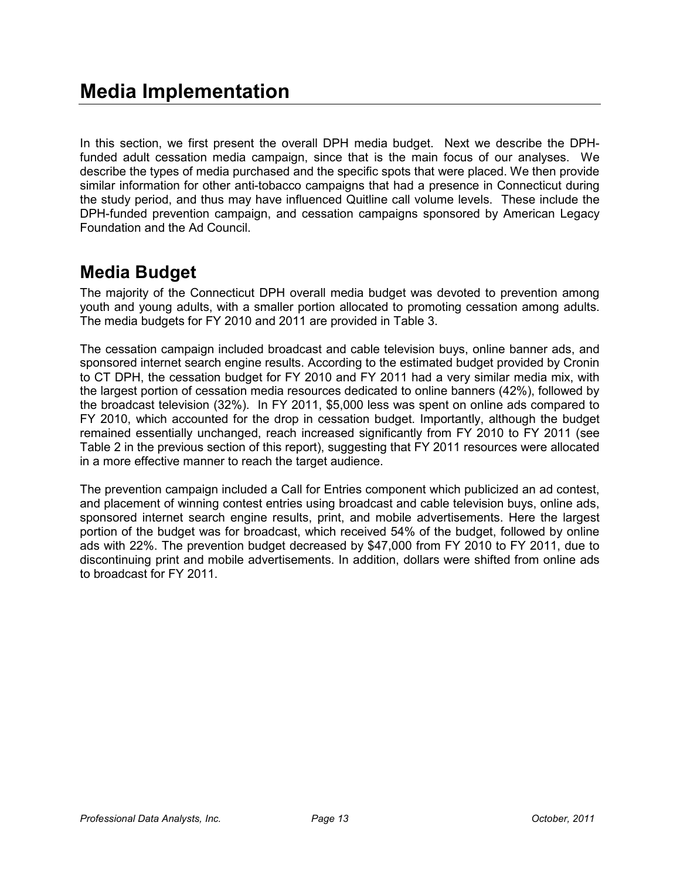In this section, we first present the overall DPH media budget. Next we describe the DPHfunded adult cessation media campaign, since that is the main focus of our analyses. We describe the types of media purchased and the specific spots that were placed. We then provide similar information for other anti-tobacco campaigns that had a presence in Connecticut during the study period, and thus may have influenced Quitline call volume levels. These include the DPH-funded prevention campaign, and cessation campaigns sponsored by American Legacy Foundation and the Ad Council.

# **Media Budget**

The majority of the Connecticut DPH overall media budget was devoted to prevention among youth and young adults, with a smaller portion allocated to promoting cessation among adults. The media budgets for FY 2010 and 2011 are provided in Table 3.

The cessation campaign included broadcast and cable television buys, online banner ads, and sponsored internet search engine results. According to the estimated budget provided by Cronin to CT DPH, the cessation budget for FY 2010 and FY 2011 had a very similar media mix, with the largest portion of cessation media resources dedicated to online banners (42%), followed by the broadcast television (32%). In FY 2011, \$5,000 less was spent on online ads compared to FY 2010, which accounted for the drop in cessation budget. Importantly, although the budget remained essentially unchanged, reach increased significantly from FY 2010 to FY 2011 (see Table 2 in the previous section of this report), suggesting that FY 2011 resources were allocated in a more effective manner to reach the target audience.

The prevention campaign included a Call for Entries component which publicized an ad contest, and placement of winning contest entries using broadcast and cable television buys, online ads, sponsored internet search engine results, print, and mobile advertisements. Here the largest portion of the budget was for broadcast, which received 54% of the budget, followed by online ads with 22%. The prevention budget decreased by \$47,000 from FY 2010 to FY 2011, due to discontinuing print and mobile advertisements. In addition, dollars were shifted from online ads to broadcast for FY 2011.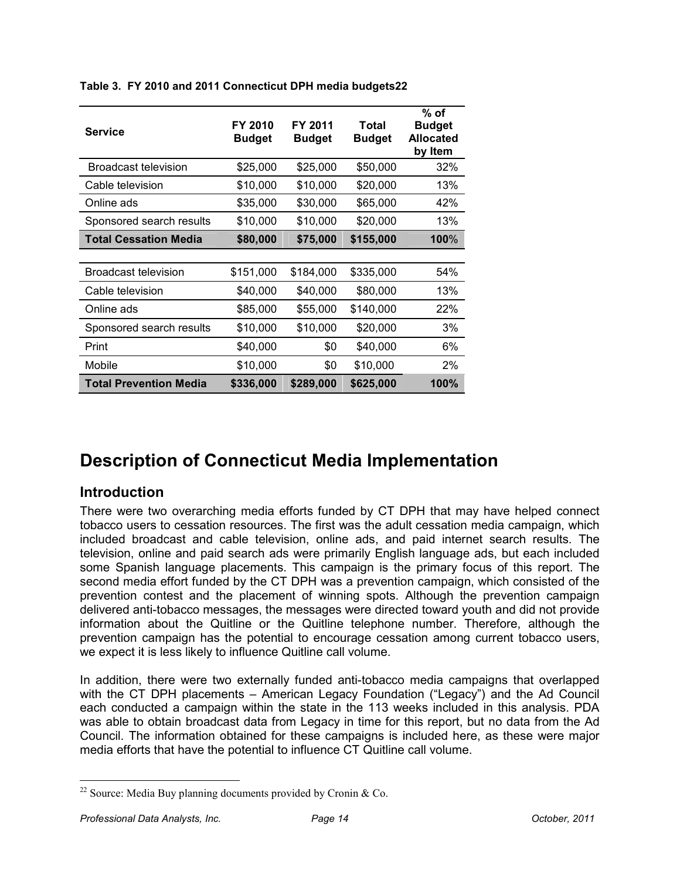| <b>Service</b>                | FY 2010<br><b>Budget</b> | FY 2011<br><b>Budget</b> | Total<br><b>Budget</b> | % of<br><b>Budget</b><br><b>Allocated</b><br>by Item |
|-------------------------------|--------------------------|--------------------------|------------------------|------------------------------------------------------|
| Broadcast television          | \$25,000                 | \$25,000                 | \$50,000               | 32%                                                  |
| Cable television              | \$10,000                 | \$10,000                 | \$20,000               | 13%                                                  |
| Online ads                    | \$35,000                 | \$30,000                 | \$65,000               | 42%                                                  |
| Sponsored search results      | \$10,000                 | \$10,000                 | \$20,000               | 13%                                                  |
| <b>Total Cessation Media</b>  | \$80,000                 | \$75,000                 | \$155,000              | 100%                                                 |
|                               |                          |                          |                        |                                                      |
| <b>Broadcast television</b>   | \$151,000                | \$184,000                | \$335,000              | 54%                                                  |
| Cable television              | \$40,000                 | \$40,000                 | \$80,000               | 13%                                                  |
| Online ads                    | \$85,000                 | \$55,000                 | \$140,000              | 22%                                                  |
| Sponsored search results      | \$10,000                 | \$10,000                 | \$20,000               | 3%                                                   |
| Print                         | \$40,000                 | \$0                      | \$40,000               | 6%                                                   |
| Mobile                        | \$10,000                 | \$0                      | \$10,000               | 2%                                                   |
| <b>Total Prevention Media</b> | \$336,000                | \$289,000                | \$625,000              | 100%                                                 |

**Table 3. FY 2010 and 2011 Connecticut DPH media budgets22** 

# **Description of Connecticut Media Implementation**

# **Introduction**

There were two overarching media efforts funded by CT DPH that may have helped connect tobacco users to cessation resources. The first was the adult cessation media campaign, which included broadcast and cable television, online ads, and paid internet search results. The television, online and paid search ads were primarily English language ads, but each included some Spanish language placements. This campaign is the primary focus of this report. The second media effort funded by the CT DPH was a prevention campaign, which consisted of the prevention contest and the placement of winning spots. Although the prevention campaign delivered anti-tobacco messages, the messages were directed toward youth and did not provide information about the Quitline or the Quitline telephone number. Therefore, although the prevention campaign has the potential to encourage cessation among current tobacco users, we expect it is less likely to influence Quitline call volume.

In addition, there were two externally funded anti-tobacco media campaigns that overlapped with the CT DPH placements – American Legacy Foundation ("Legacy") and the Ad Council each conducted a campaign within the state in the 113 weeks included in this analysis. PDA was able to obtain broadcast data from Legacy in time for this report, but no data from the Ad Council. The information obtained for these campaigns is included here, as these were major media efforts that have the potential to influence CT Quitline call volume.

<u>.</u>

<sup>&</sup>lt;sup>22</sup> Source: Media Buy planning documents provided by Cronin & Co.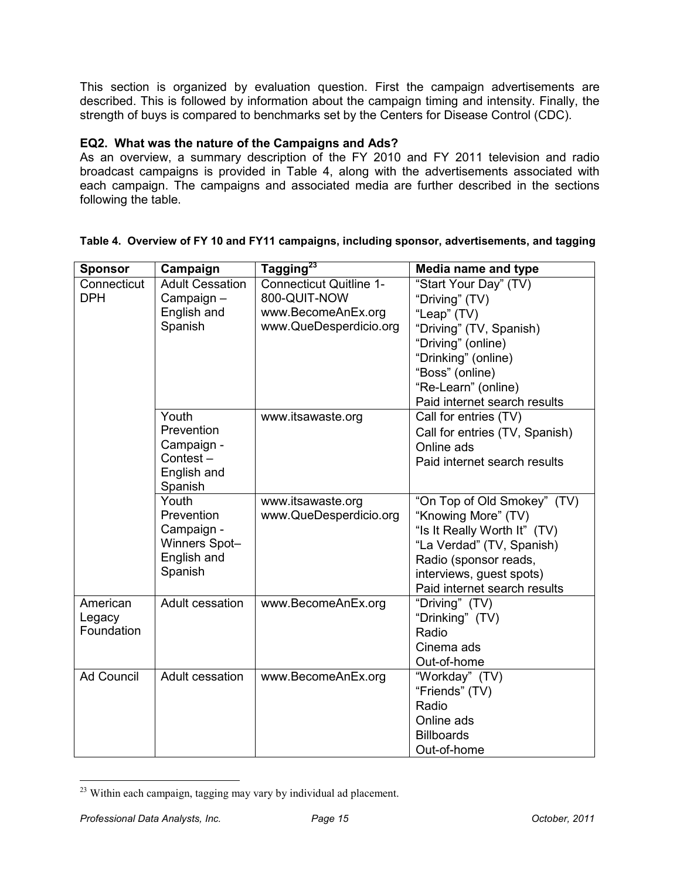This section is organized by evaluation question. First the campaign advertisements are described. This is followed by information about the campaign timing and intensity. Finally, the strength of buys is compared to benchmarks set by the Centers for Disease Control (CDC).

#### **EQ2. What was the nature of the Campaigns and Ads?**

As an overview, a summary description of the FY 2010 and FY 2011 television and radio broadcast campaigns is provided in Table 4, along with the advertisements associated with each campaign. The campaigns and associated media are further described in the sections following the table.

| <b>Sponsor</b>    | Campaign                    | Tagging <sup>23</sup>             | Media name and type                               |  |  |  |  |
|-------------------|-----------------------------|-----------------------------------|---------------------------------------------------|--|--|--|--|
| Connecticut       | <b>Adult Cessation</b>      | <b>Connecticut Quitline 1-</b>    | "Start Your Day" (TV)                             |  |  |  |  |
| <b>DPH</b>        | Campaign-                   | 800-QUIT-NOW                      | "Driving" (TV)                                    |  |  |  |  |
|                   | English and                 | www.BecomeAnEx.org<br>"Leap" (TV) |                                                   |  |  |  |  |
|                   | Spanish                     | www.QueDesperdicio.org            | "Driving" (TV, Spanish)                           |  |  |  |  |
|                   |                             |                                   | "Driving" (online)                                |  |  |  |  |
|                   |                             |                                   | "Drinking" (online)                               |  |  |  |  |
|                   |                             |                                   | "Boss" (online)                                   |  |  |  |  |
|                   |                             |                                   | "Re-Learn" (online)                               |  |  |  |  |
|                   |                             |                                   | Paid internet search results                      |  |  |  |  |
|                   | Youth                       | www.itsawaste.org                 | Call for entries (TV)                             |  |  |  |  |
|                   | Prevention                  |                                   | Call for entries (TV, Spanish)                    |  |  |  |  |
|                   | Campaign -                  |                                   | Online ads                                        |  |  |  |  |
|                   | Contest-                    |                                   | Paid internet search results                      |  |  |  |  |
|                   | English and                 |                                   |                                                   |  |  |  |  |
|                   | Spanish                     |                                   |                                                   |  |  |  |  |
|                   | Youth<br>Prevention         | www.itsawaste.org                 | "On Top of Old Smokey" (TV)                       |  |  |  |  |
|                   |                             | www.QueDesperdicio.org            | "Knowing More" (TV)                               |  |  |  |  |
|                   | Campaign -<br>Winners Spot- |                                   | "Is It Really Worth It" (TV)                      |  |  |  |  |
|                   | English and                 |                                   | "La Verdad" (TV, Spanish)                         |  |  |  |  |
|                   | Spanish                     |                                   | Radio (sponsor reads,<br>interviews, guest spots) |  |  |  |  |
|                   |                             |                                   | Paid internet search results                      |  |  |  |  |
| American          | Adult cessation             | www.BecomeAnEx.org                | "Driving" (TV)                                    |  |  |  |  |
| Legacy            |                             |                                   | "Drinking" (TV)                                   |  |  |  |  |
| Foundation        |                             |                                   | Radio                                             |  |  |  |  |
|                   |                             |                                   | Cinema ads                                        |  |  |  |  |
|                   |                             |                                   | Out-of-home                                       |  |  |  |  |
| <b>Ad Council</b> | Adult cessation             | www.BecomeAnEx.org                | "Workday" (TV)                                    |  |  |  |  |
|                   |                             |                                   | "Friends" (TV)                                    |  |  |  |  |
|                   |                             |                                   | Radio                                             |  |  |  |  |
|                   |                             |                                   | Online ads                                        |  |  |  |  |
|                   |                             |                                   | <b>Billboards</b>                                 |  |  |  |  |
|                   |                             |                                   | Out-of-home                                       |  |  |  |  |

#### **Table 4. Overview of FY 10 and FY11 campaigns, including sponsor, advertisements, and tagging**

<sup>&</sup>lt;u>.</u> <sup>23</sup> Within each campaign, tagging may vary by individual ad placement.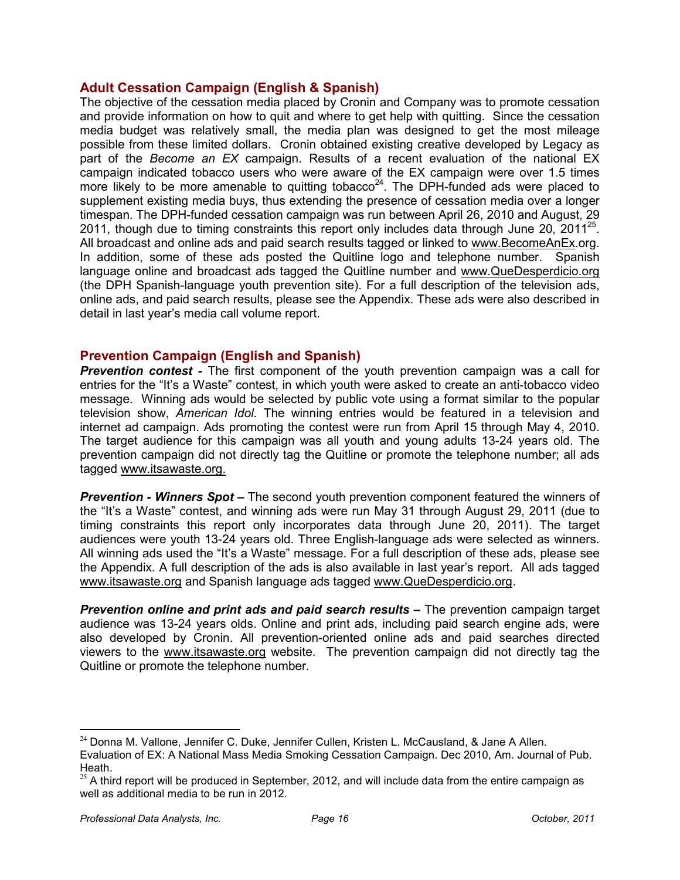#### **Adult Cessation Campaign (English & Spanish)**

The objective of the cessation media placed by Cronin and Company was to promote cessation and provide information on how to quit and where to get help with quitting. Since the cessation media budget was relatively small, the media plan was designed to get the most mileage possible from these limited dollars. Cronin obtained existing creative developed by Legacy as part of the *Become an EX* campaign. Results of a recent evaluation of the national EX campaign indicated tobacco users who were aware of the EX campaign were over 1.5 times more likely to be more amenable to quitting tobacco<sup>24</sup>. The DPH-funded ads were placed to supplement existing media buys, thus extending the presence of cessation media over a longer timespan. The DPH-funded cessation campaign was run between April 26, 2010 and August, 29 2011, though due to timing constraints this report only includes data through June 20, 2011<sup>25</sup>. All broadcast and online ads and paid search results tagged or linked to www.BecomeAnEx.org. In addition, some of these ads posted the Quitline logo and telephone number. Spanish language online and broadcast ads tagged the Quitline number and www.QueDesperdicio.org (the DPH Spanish-language youth prevention site). For a full description of the television ads, online ads, and paid search results, please see the Appendix. These ads were also described in detail in last year's media call volume report.

#### **Prevention Campaign (English and Spanish)**

*Prevention contest -* The first component of the youth prevention campaign was a call for entries for the "It's a Waste" contest, in which youth were asked to create an anti-tobacco video message. Winning ads would be selected by public vote using a format similar to the popular television show, *American Idol*. The winning entries would be featured in a television and internet ad campaign. Ads promoting the contest were run from April 15 through May 4, 2010. The target audience for this campaign was all youth and young adults 13-24 years old. The prevention campaign did not directly tag the Quitline or promote the telephone number; all ads tagged www.itsawaste.org.

*Prevention - Winners Spot –* The second youth prevention component featured the winners of the "It's a Waste" contest, and winning ads were run May 31 through August 29, 2011 (due to timing constraints this report only incorporates data through June 20, 2011). The target audiences were youth 13-24 years old. Three English-language ads were selected as winners. All winning ads used the "It's a Waste" message. For a full description of these ads, please see the Appendix. A full description of the ads is also available in last year's report. All ads tagged www.itsawaste.org and Spanish language ads tagged www.QueDesperdicio.org.

*Prevention online and print ads and paid search results –* The prevention campaign target audience was 13-24 years olds. Online and print ads, including paid search engine ads, were also developed by Cronin. All prevention-oriented online ads and paid searches directed viewers to the www.itsawaste.org website. The prevention campaign did not directly tag the Quitline or promote the telephone number.

-

 $24$  Donna M. Vallone, Jennifer C. Duke, Jennifer Cullen, Kristen L. McCausland, & Jane A Allen. Evaluation of EX: A National Mass Media Smoking Cessation Campaign. Dec 2010, Am. Journal of Pub. Heath.

 $25$  A third report will be produced in September, 2012, and will include data from the entire campaign as well as additional media to be run in 2012.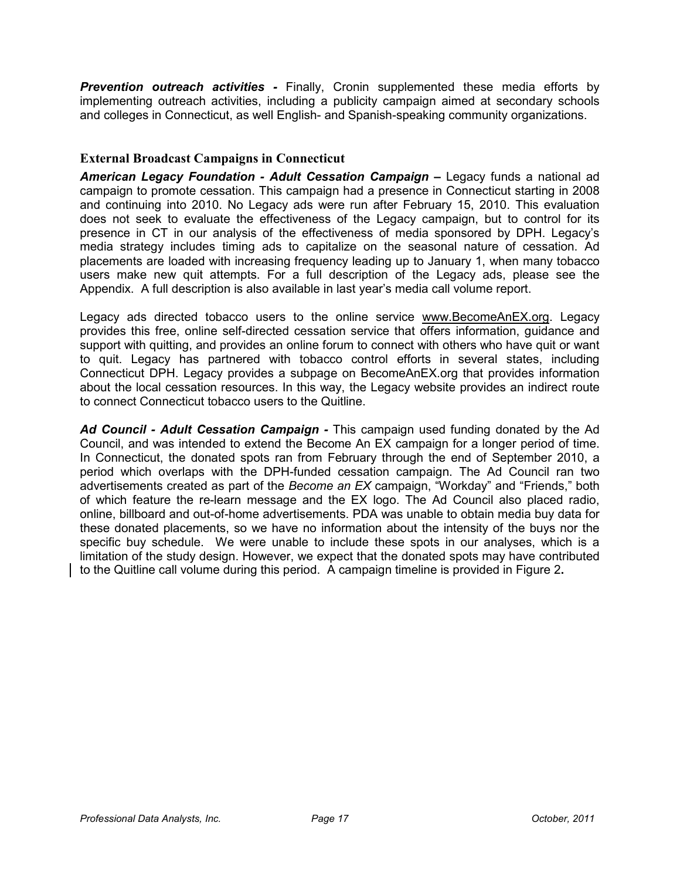*Prevention outreach activities -* Finally, Cronin supplemented these media efforts by implementing outreach activities, including a publicity campaign aimed at secondary schools and colleges in Connecticut, as well English- and Spanish-speaking community organizations.

#### **External Broadcast Campaigns in Connecticut**

American Legacy Foundation - Adult Cessation Campaign - Legacy funds a national ad campaign to promote cessation. This campaign had a presence in Connecticut starting in 2008 and continuing into 2010. No Legacy ads were run after February 15, 2010. This evaluation does not seek to evaluate the effectiveness of the Legacy campaign, but to control for its presence in CT in our analysis of the effectiveness of media sponsored by DPH. Legacy's media strategy includes timing ads to capitalize on the seasonal nature of cessation. Ad placements are loaded with increasing frequency leading up to January 1, when many tobacco users make new quit attempts. For a full description of the Legacy ads, please see the Appendix. A full description is also available in last year's media call volume report.

Legacy ads directed tobacco users to the online service www.BecomeAnEX.org. Legacy provides this free, online self-directed cessation service that offers information, guidance and support with quitting, and provides an online forum to connect with others who have quit or want to quit. Legacy has partnered with tobacco control efforts in several states, including Connecticut DPH. Legacy provides a subpage on BecomeAnEX.org that provides information about the local cessation resources. In this way, the Legacy website provides an indirect route to connect Connecticut tobacco users to the Quitline.

*Ad Council - Adult Cessation Campaign -* This campaign used funding donated by the Ad Council, and was intended to extend the Become An EX campaign for a longer period of time. In Connecticut, the donated spots ran from February through the end of September 2010, a period which overlaps with the DPH-funded cessation campaign. The Ad Council ran two advertisements created as part of the *Become an EX* campaign, "Workday" and "Friends," both of which feature the re-learn message and the EX logo. The Ad Council also placed radio, online, billboard and out-of-home advertisements. PDA was unable to obtain media buy data for these donated placements, so we have no information about the intensity of the buys nor the specific buy schedule. We were unable to include these spots in our analyses, which is a limitation of the study design. However, we expect that the donated spots may have contributed to the Quitline call volume during this period. A campaign timeline is provided in Figure 2**.**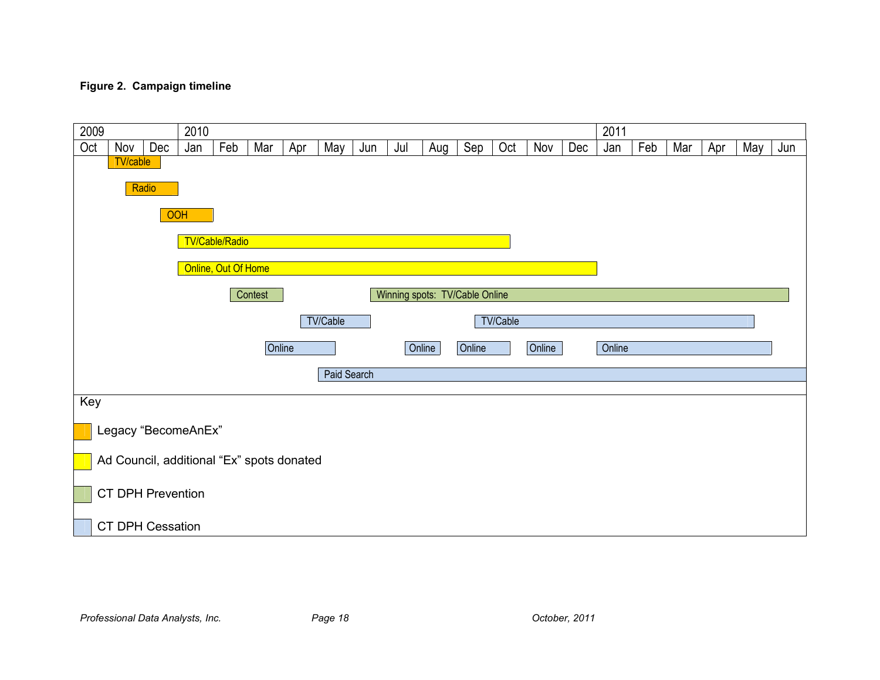#### **Figure 2. Campaign timeline**

| 2009 |                                           |            | 2010 |                     |         |     |                 |     |     |        |                                |          |        |     | 2011   |     |     |     |     |     |
|------|-------------------------------------------|------------|------|---------------------|---------|-----|-----------------|-----|-----|--------|--------------------------------|----------|--------|-----|--------|-----|-----|-----|-----|-----|
| Oct  | Nov                                       | Dec        | Jan  | Feb                 | Mar     | Apr | May             | Jun | Jul | Aug    | Sep                            | Oct      | Nov    | Dec | Jan    | Feb | Mar | Apr | May | Jun |
|      | <b>TV/cable</b>                           |            |      |                     |         |     |                 |     |     |        |                                |          |        |     |        |     |     |     |     |     |
|      |                                           | Radio      |      |                     |         |     |                 |     |     |        |                                |          |        |     |        |     |     |     |     |     |
|      |                                           | <b>OOH</b> |      |                     |         |     |                 |     |     |        |                                |          |        |     |        |     |     |     |     |     |
|      |                                           |            |      | TV/Cable/Radio      |         |     |                 |     |     |        |                                |          |        |     |        |     |     |     |     |     |
|      |                                           |            |      | Online, Out Of Home |         |     |                 |     |     |        |                                |          |        |     |        |     |     |     |     |     |
|      |                                           |            |      |                     | Contest |     |                 |     |     |        | Winning spots: TV/Cable Online |          |        |     |        |     |     |     |     |     |
|      |                                           |            |      |                     |         |     | <b>TV/Cable</b> |     |     |        |                                | TV/Cable |        |     |        |     |     |     |     |     |
|      |                                           |            |      |                     | Online  |     |                 |     |     | Online | Online                         |          | Online |     | Online |     |     |     |     |     |
|      |                                           |            |      |                     |         |     | Paid Search     |     |     |        |                                |          |        |     |        |     |     |     |     |     |
| Key  |                                           |            |      |                     |         |     |                 |     |     |        |                                |          |        |     |        |     |     |     |     |     |
|      |                                           |            |      |                     |         |     |                 |     |     |        |                                |          |        |     |        |     |     |     |     |     |
|      | Legacy "BecomeAnEx"                       |            |      |                     |         |     |                 |     |     |        |                                |          |        |     |        |     |     |     |     |     |
|      | Ad Council, additional "Ex" spots donated |            |      |                     |         |     |                 |     |     |        |                                |          |        |     |        |     |     |     |     |     |
|      | <b>CT DPH Prevention</b>                  |            |      |                     |         |     |                 |     |     |        |                                |          |        |     |        |     |     |     |     |     |
|      | CT DPH Cessation                          |            |      |                     |         |     |                 |     |     |        |                                |          |        |     |        |     |     |     |     |     |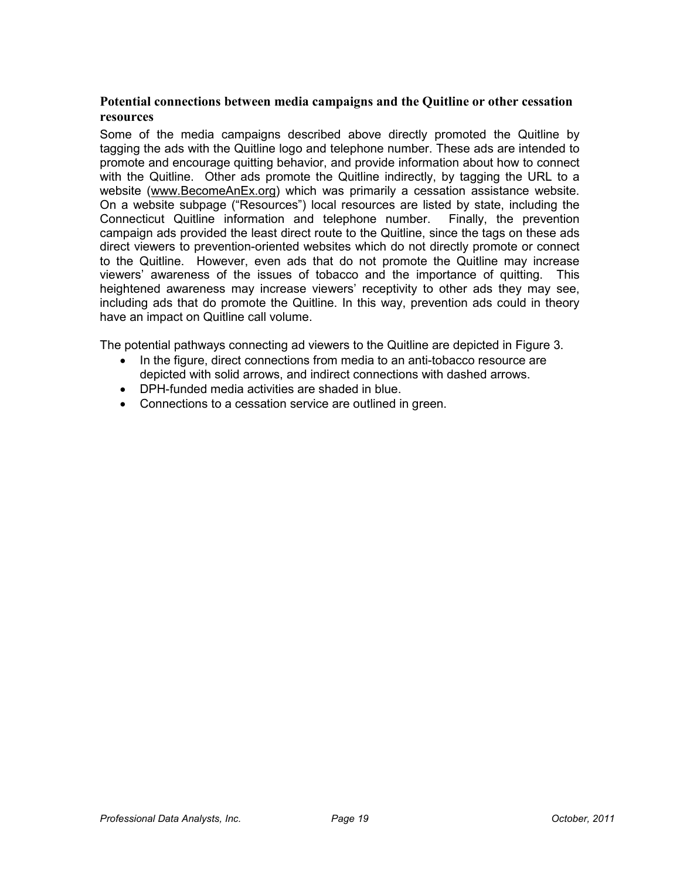#### **Potential connections between media campaigns and the Quitline or other cessation resources**

Some of the media campaigns described above directly promoted the Quitline by tagging the ads with the Quitline logo and telephone number. These ads are intended to promote and encourage quitting behavior, and provide information about how to connect with the Quitline. Other ads promote the Quitline indirectly, by tagging the URL to a website (www.BecomeAnEx.org) which was primarily a cessation assistance website. On a website subpage ("Resources") local resources are listed by state, including the Connecticut Quitline information and telephone number. Finally, the prevention campaign ads provided the least direct route to the Quitline, since the tags on these ads direct viewers to prevention-oriented websites which do not directly promote or connect to the Quitline. However, even ads that do not promote the Quitline may increase viewers' awareness of the issues of tobacco and the importance of quitting. This heightened awareness may increase viewers' receptivity to other ads they may see, including ads that do promote the Quitline. In this way, prevention ads could in theory have an impact on Quitline call volume.

The potential pathways connecting ad viewers to the Quitline are depicted in Figure 3.

- In the figure, direct connections from media to an anti-tobacco resource are depicted with solid arrows, and indirect connections with dashed arrows.
- DPH-funded media activities are shaded in blue.
- Connections to a cessation service are outlined in green.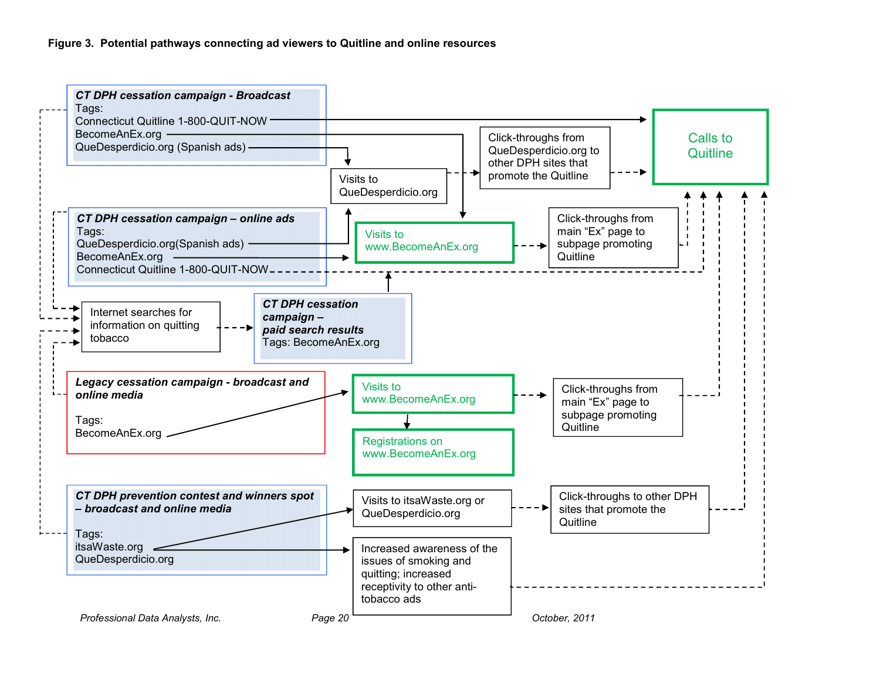#### **Figure 3. Potential pathways connecting ad viewers to Quitline and online resources**

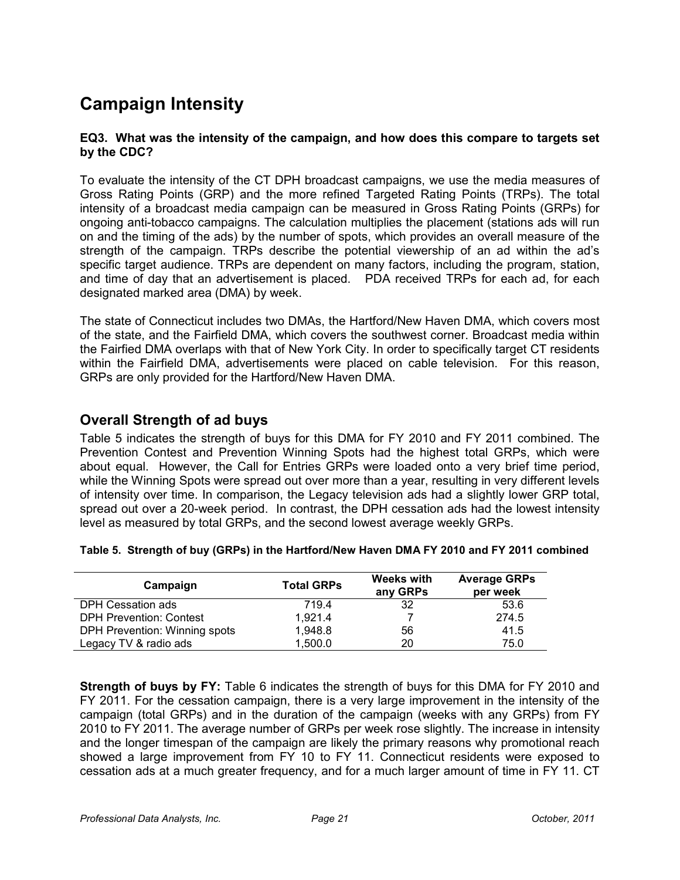# **Campaign Intensity**

#### **EQ3. What was the intensity of the campaign, and how does this compare to targets set by the CDC?**

To evaluate the intensity of the CT DPH broadcast campaigns, we use the media measures of Gross Rating Points (GRP) and the more refined Targeted Rating Points (TRPs). The total intensity of a broadcast media campaign can be measured in Gross Rating Points (GRPs) for ongoing anti-tobacco campaigns. The calculation multiplies the placement (stations ads will run on and the timing of the ads) by the number of spots, which provides an overall measure of the strength of the campaign. TRPs describe the potential viewership of an ad within the ad's specific target audience. TRPs are dependent on many factors, including the program, station, and time of day that an advertisement is placed. PDA received TRPs for each ad, for each designated marked area (DMA) by week.

The state of Connecticut includes two DMAs, the Hartford/New Haven DMA, which covers most of the state, and the Fairfield DMA, which covers the southwest corner. Broadcast media within the Fairfied DMA overlaps with that of New York City. In order to specifically target CT residents within the Fairfield DMA, advertisements were placed on cable television. For this reason, GRPs are only provided for the Hartford/New Haven DMA.

# **Overall Strength of ad buys**

Table 5 indicates the strength of buys for this DMA for FY 2010 and FY 2011 combined. The Prevention Contest and Prevention Winning Spots had the highest total GRPs, which were about equal. However, the Call for Entries GRPs were loaded onto a very brief time period, while the Winning Spots were spread out over more than a year, resulting in very different levels of intensity over time. In comparison, the Legacy television ads had a slightly lower GRP total, spread out over a 20-week period. In contrast, the DPH cessation ads had the lowest intensity level as measured by total GRPs, and the second lowest average weekly GRPs.

| Campaign                       | <b>Total GRPs</b> | <b>Weeks with</b><br>any GRPs | <b>Average GRPs</b><br>per week |
|--------------------------------|-------------------|-------------------------------|---------------------------------|
| DPH Cessation ads              | 719.4             | 32                            | 53.6                            |
| <b>DPH Prevention: Contest</b> | 1.921.4           |                               | 274.5                           |
| DPH Prevention: Winning spots  | 1.948.8           | 56                            | 41.5                            |
| Legacy TV & radio ads          | 1.500.0           | 20                            | 75.0                            |

**Strength of buys by FY:** Table 6 indicates the strength of buys for this DMA for FY 2010 and FY 2011. For the cessation campaign, there is a very large improvement in the intensity of the campaign (total GRPs) and in the duration of the campaign (weeks with any GRPs) from FY 2010 to FY 2011. The average number of GRPs per week rose slightly. The increase in intensity and the longer timespan of the campaign are likely the primary reasons why promotional reach showed a large improvement from FY 10 to FY 11. Connecticut residents were exposed to cessation ads at a much greater frequency, and for a much larger amount of time in FY 11. CT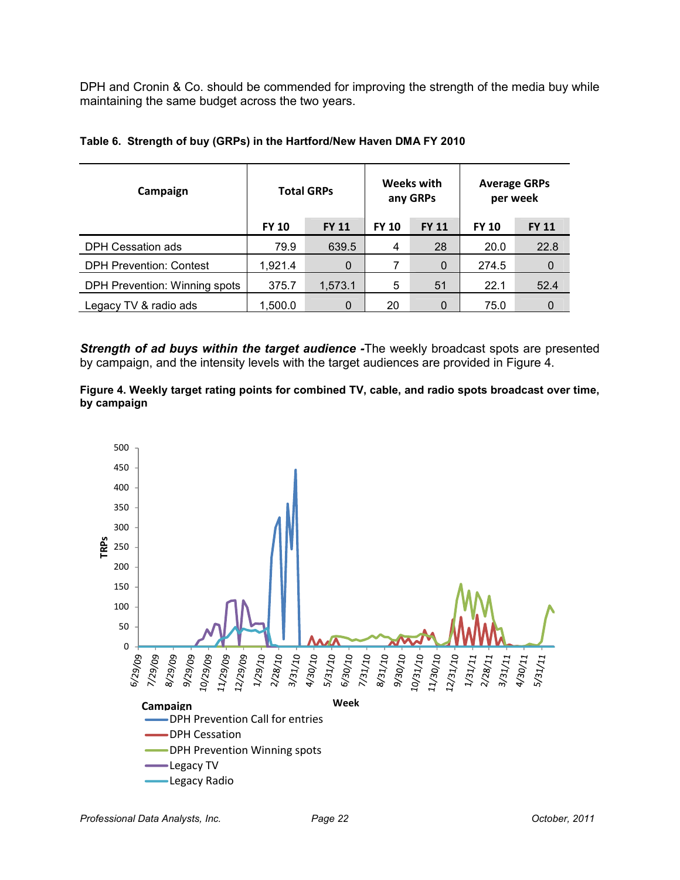DPH and Cronin & Co. should be commended for improving the strength of the media buy while maintaining the same budget across the two years.

| Campaign                       |              | <b>Total GRPs</b> |              | Weeks with<br>any GRPs | <b>Average GRPs</b><br>per week |              |  |
|--------------------------------|--------------|-------------------|--------------|------------------------|---------------------------------|--------------|--|
|                                | <b>FY 10</b> | <b>FY 11</b>      | <b>FY 10</b> | <b>FY 11</b>           | <b>FY 10</b>                    | <b>FY 11</b> |  |
| DPH Cessation ads              | 79.9         | 639.5             | 4            | 28                     | 20.0                            | 22.8         |  |
| <b>DPH Prevention: Contest</b> | 1,921.4      | 0                 | 7            | $\Omega$               | 274.5                           | 0            |  |
| DPH Prevention: Winning spots  | 375.7        | 1,573.1           | 5            | 51                     | 22.1                            | 52.4         |  |
| Legacy TV & radio ads          | 1,500.0      | 0                 | 20           | 0                      | 75.0                            | 0            |  |

#### **Table 6. Strength of buy (GRPs) in the Hartford/New Haven DMA FY 2010**

*Strength of ad buys within the target audience -*The weekly broadcast spots are presented by campaign, and the intensity levels with the target audiences are provided in Figure 4.

**Figure 4. Weekly target rating points for combined TV, cable, and radio spots broadcast over time, by campaign** 

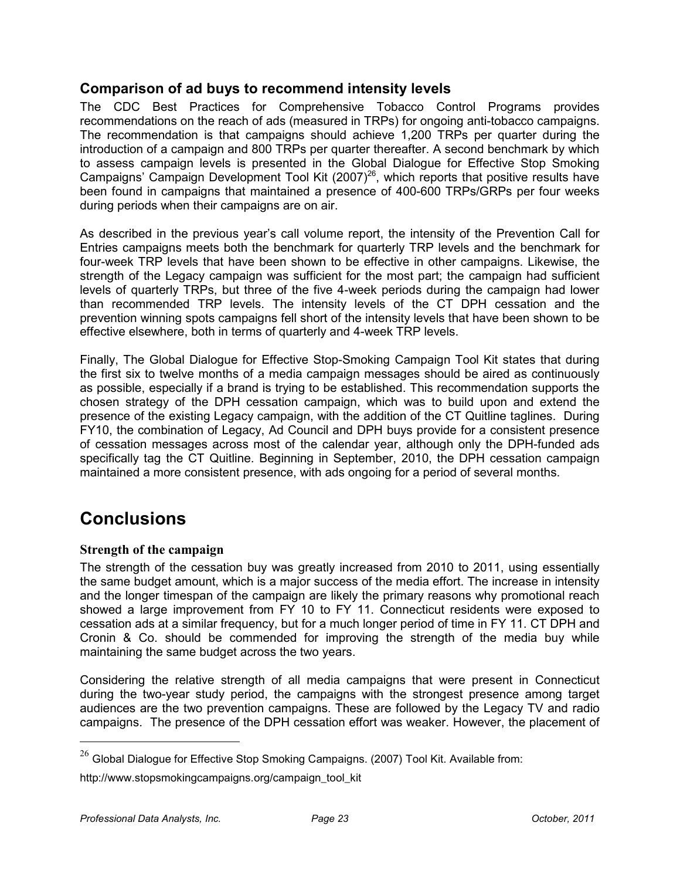# **Comparison of ad buys to recommend intensity levels**

The CDC Best Practices for Comprehensive Tobacco Control Programs provides recommendations on the reach of ads (measured in TRPs) for ongoing anti-tobacco campaigns. The recommendation is that campaigns should achieve 1,200 TRPs per quarter during the introduction of a campaign and 800 TRPs per quarter thereafter. A second benchmark by which to assess campaign levels is presented in the Global Dialogue for Effective Stop Smoking Campaigns' Campaign Development Tool Kit (2007)<sup>26</sup>, which reports that positive results have been found in campaigns that maintained a presence of 400-600 TRPs/GRPs per four weeks during periods when their campaigns are on air.

As described in the previous year's call volume report, the intensity of the Prevention Call for Entries campaigns meets both the benchmark for quarterly TRP levels and the benchmark for four-week TRP levels that have been shown to be effective in other campaigns. Likewise, the strength of the Legacy campaign was sufficient for the most part; the campaign had sufficient levels of quarterly TRPs, but three of the five 4-week periods during the campaign had lower than recommended TRP levels. The intensity levels of the CT DPH cessation and the prevention winning spots campaigns fell short of the intensity levels that have been shown to be effective elsewhere, both in terms of quarterly and 4-week TRP levels.

Finally, The Global Dialogue for Effective Stop-Smoking Campaign Tool Kit states that during the first six to twelve months of a media campaign messages should be aired as continuously as possible, especially if a brand is trying to be established. This recommendation supports the chosen strategy of the DPH cessation campaign, which was to build upon and extend the presence of the existing Legacy campaign, with the addition of the CT Quitline taglines. During FY10, the combination of Legacy, Ad Council and DPH buys provide for a consistent presence of cessation messages across most of the calendar year, although only the DPH-funded ads specifically tag the CT Quitline. Beginning in September, 2010, the DPH cessation campaign maintained a more consistent presence, with ads ongoing for a period of several months.

# **Conclusions**

#### **Strength of the campaign**

The strength of the cessation buy was greatly increased from 2010 to 2011, using essentially the same budget amount, which is a major success of the media effort. The increase in intensity and the longer timespan of the campaign are likely the primary reasons why promotional reach showed a large improvement from FY 10 to FY 11. Connecticut residents were exposed to cessation ads at a similar frequency, but for a much longer period of time in FY 11. CT DPH and Cronin & Co. should be commended for improving the strength of the media buy while maintaining the same budget across the two years.

Considering the relative strength of all media campaigns that were present in Connecticut during the two-year study period, the campaigns with the strongest presence among target audiences are the two prevention campaigns. These are followed by the Legacy TV and radio campaigns. The presence of the DPH cessation effort was weaker. However, the placement of

http://www.stopsmokingcampaigns.org/campaign\_tool\_kit

-

 $^{26}$  Global Dialogue for Effective Stop Smoking Campaigns. (2007) Tool Kit. Available from: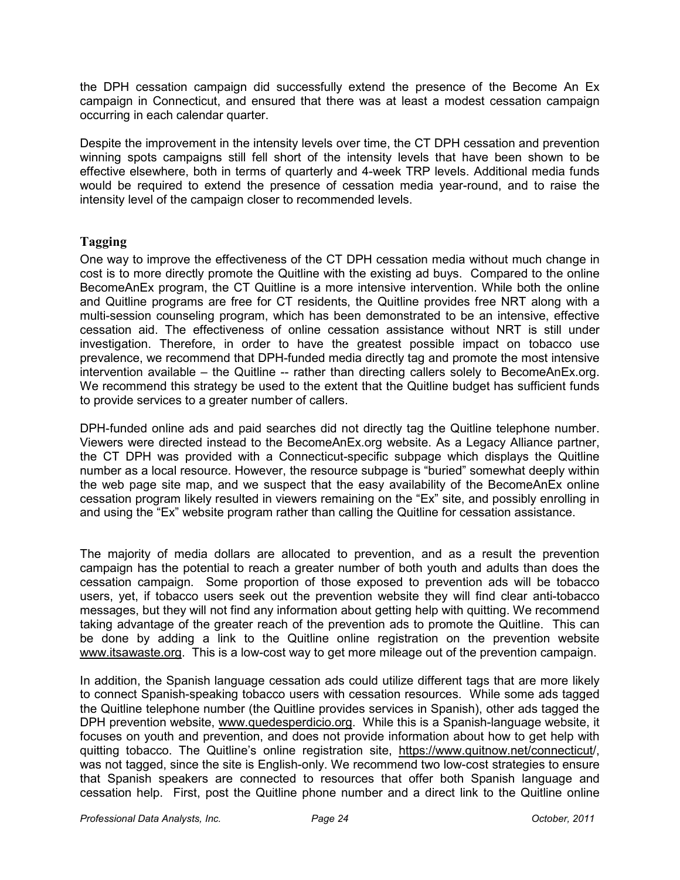the DPH cessation campaign did successfully extend the presence of the Become An Ex campaign in Connecticut, and ensured that there was at least a modest cessation campaign occurring in each calendar quarter.

Despite the improvement in the intensity levels over time, the CT DPH cessation and prevention winning spots campaigns still fell short of the intensity levels that have been shown to be effective elsewhere, both in terms of quarterly and 4-week TRP levels. Additional media funds would be required to extend the presence of cessation media year-round, and to raise the intensity level of the campaign closer to recommended levels.

#### **Tagging**

One way to improve the effectiveness of the CT DPH cessation media without much change in cost is to more directly promote the Quitline with the existing ad buys. Compared to the online BecomeAnEx program, the CT Quitline is a more intensive intervention. While both the online and Quitline programs are free for CT residents, the Quitline provides free NRT along with a multi-session counseling program, which has been demonstrated to be an intensive, effective cessation aid. The effectiveness of online cessation assistance without NRT is still under investigation. Therefore, in order to have the greatest possible impact on tobacco use prevalence, we recommend that DPH-funded media directly tag and promote the most intensive intervention available – the Quitline -- rather than directing callers solely to BecomeAnEx.org. We recommend this strategy be used to the extent that the Quitline budget has sufficient funds to provide services to a greater number of callers.

DPH-funded online ads and paid searches did not directly tag the Quitline telephone number. Viewers were directed instead to the BecomeAnEx.org website. As a Legacy Alliance partner, the CT DPH was provided with a Connecticut-specific subpage which displays the Quitline number as a local resource. However, the resource subpage is "buried" somewhat deeply within the web page site map, and we suspect that the easy availability of the BecomeAnEx online cessation program likely resulted in viewers remaining on the "Ex" site, and possibly enrolling in and using the "Ex" website program rather than calling the Quitline for cessation assistance.

The majority of media dollars are allocated to prevention, and as a result the prevention campaign has the potential to reach a greater number of both youth and adults than does the cessation campaign. Some proportion of those exposed to prevention ads will be tobacco users, yet, if tobacco users seek out the prevention website they will find clear anti-tobacco messages, but they will not find any information about getting help with quitting. We recommend taking advantage of the greater reach of the prevention ads to promote the Quitline. This can be done by adding a link to the Quitline online registration on the prevention website www.itsawaste.org. This is a low-cost way to get more mileage out of the prevention campaign.

In addition, the Spanish language cessation ads could utilize different tags that are more likely to connect Spanish-speaking tobacco users with cessation resources. While some ads tagged the Quitline telephone number (the Quitline provides services in Spanish), other ads tagged the DPH prevention website, www.quedesperdicio.org. While this is a Spanish-language website, it focuses on youth and prevention, and does not provide information about how to get help with quitting tobacco. The Quitline's online registration site, https://www.quitnow.net/connecticut/, was not tagged, since the site is English-only. We recommend two low-cost strategies to ensure that Spanish speakers are connected to resources that offer both Spanish language and cessation help. First, post the Quitline phone number and a direct link to the Quitline online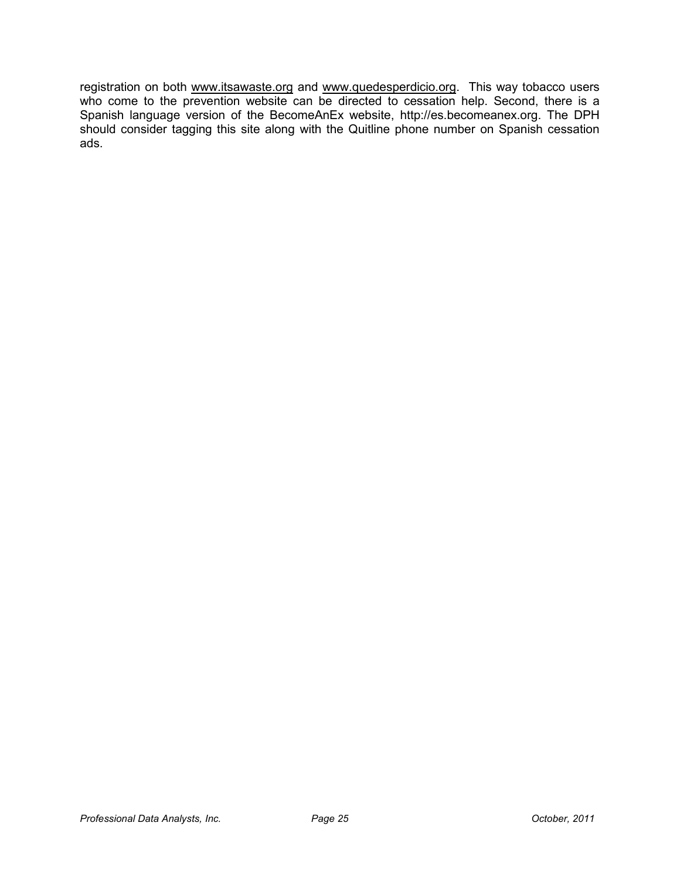registration on both www.itsawaste.org and www.quedesperdicio.org. This way tobacco users who come to the prevention website can be directed to cessation help. Second, there is a Spanish language version of the BecomeAnEx website, http://es.becomeanex.org. The DPH should consider tagging this site along with the Quitline phone number on Spanish cessation ads.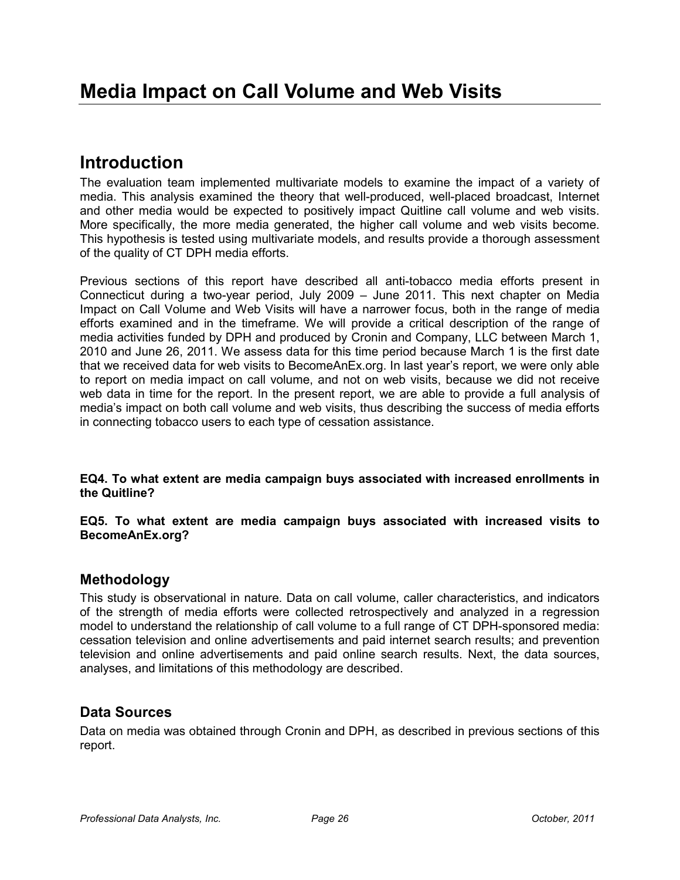# **Introduction**

The evaluation team implemented multivariate models to examine the impact of a variety of media. This analysis examined the theory that well-produced, well-placed broadcast, Internet and other media would be expected to positively impact Quitline call volume and web visits. More specifically, the more media generated, the higher call volume and web visits become. This hypothesis is tested using multivariate models, and results provide a thorough assessment of the quality of CT DPH media efforts.

Previous sections of this report have described all anti-tobacco media efforts present in Connecticut during a two-year period, July 2009 – June 2011. This next chapter on Media Impact on Call Volume and Web Visits will have a narrower focus, both in the range of media efforts examined and in the timeframe. We will provide a critical description of the range of media activities funded by DPH and produced by Cronin and Company, LLC between March 1, 2010 and June 26, 2011. We assess data for this time period because March 1 is the first date that we received data for web visits to BecomeAnEx.org. In last year's report, we were only able to report on media impact on call volume, and not on web visits, because we did not receive web data in time for the report. In the present report, we are able to provide a full analysis of media's impact on both call volume and web visits, thus describing the success of media efforts in connecting tobacco users to each type of cessation assistance.

**EQ4. To what extent are media campaign buys associated with increased enrollments in the Quitline?** 

**EQ5. To what extent are media campaign buys associated with increased visits to BecomeAnEx.org?** 

# **Methodology**

This study is observational in nature. Data on call volume, caller characteristics, and indicators of the strength of media efforts were collected retrospectively and analyzed in a regression model to understand the relationship of call volume to a full range of CT DPH-sponsored media: cessation television and online advertisements and paid internet search results; and prevention television and online advertisements and paid online search results. Next, the data sources, analyses, and limitations of this methodology are described.

# **Data Sources**

Data on media was obtained through Cronin and DPH, as described in previous sections of this report.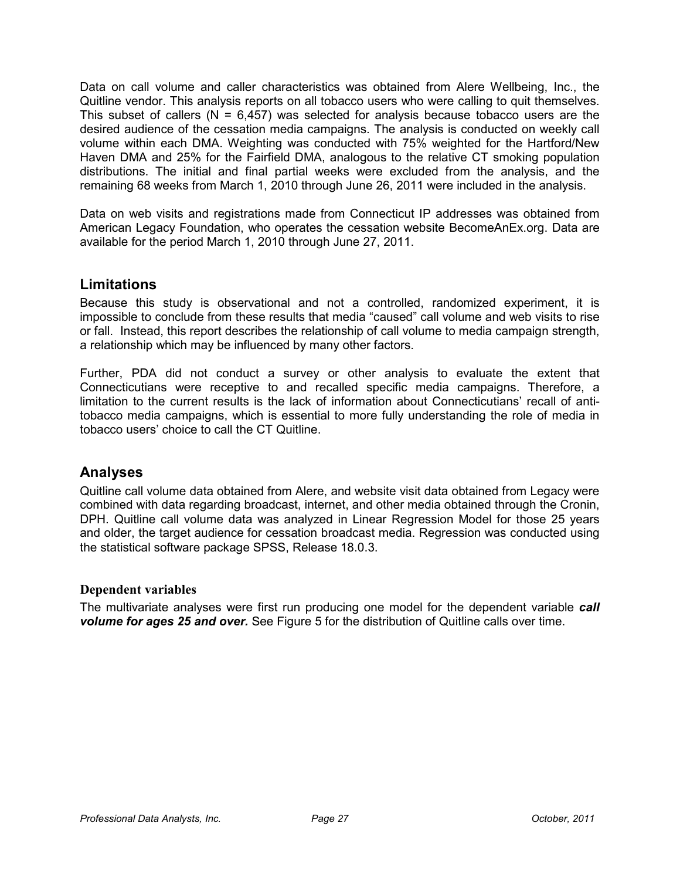Data on call volume and caller characteristics was obtained from Alere Wellbeing, Inc., the Quitline vendor. This analysis reports on all tobacco users who were calling to quit themselves. This subset of callers ( $N = 6,457$ ) was selected for analysis because tobacco users are the desired audience of the cessation media campaigns. The analysis is conducted on weekly call volume within each DMA. Weighting was conducted with 75% weighted for the Hartford/New Haven DMA and 25% for the Fairfield DMA, analogous to the relative CT smoking population distributions. The initial and final partial weeks were excluded from the analysis, and the remaining 68 weeks from March 1, 2010 through June 26, 2011 were included in the analysis.

Data on web visits and registrations made from Connecticut IP addresses was obtained from American Legacy Foundation, who operates the cessation website BecomeAnEx.org. Data are available for the period March 1, 2010 through June 27, 2011.

# **Limitations**

Because this study is observational and not a controlled, randomized experiment, it is impossible to conclude from these results that media "caused" call volume and web visits to rise or fall. Instead, this report describes the relationship of call volume to media campaign strength, a relationship which may be influenced by many other factors.

Further, PDA did not conduct a survey or other analysis to evaluate the extent that Connecticutians were receptive to and recalled specific media campaigns. Therefore, a limitation to the current results is the lack of information about Connecticutians' recall of antitobacco media campaigns, which is essential to more fully understanding the role of media in tobacco users' choice to call the CT Quitline.

# **Analyses**

Quitline call volume data obtained from Alere, and website visit data obtained from Legacy were combined with data regarding broadcast, internet, and other media obtained through the Cronin, DPH. Quitline call volume data was analyzed in Linear Regression Model for those 25 years and older, the target audience for cessation broadcast media. Regression was conducted using the statistical software package SPSS, Release 18.0.3.

#### **Dependent variables**

The multivariate analyses were first run producing one model for the dependent variable *call volume for ages 25 and over.* See Figure 5 for the distribution of Quitline calls over time.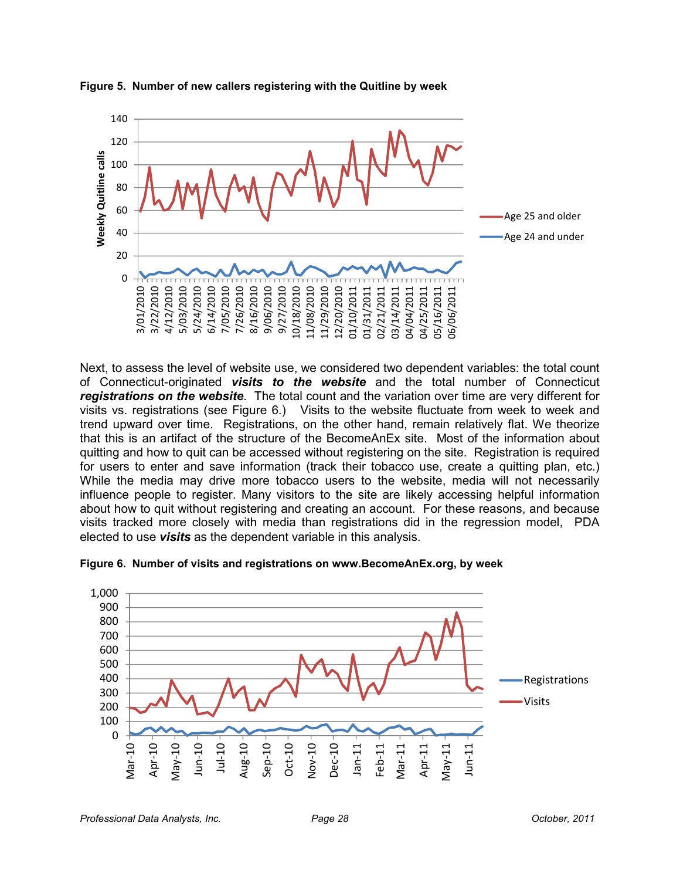

**Figure 5. Number of new callers registering with the Quitline by week** 

Next, to assess the level of website use, we considered two dependent variables: the total count of Connecticut-originated *visits to the website* and the total number of Connecticut *registrations on the website*. The total count and the variation over time are very different for visits vs. registrations (see Figure 6.) Visits to the website fluctuate from week to week and trend upward over time. Registrations, on the other hand, remain relatively flat. We theorize that this is an artifact of the structure of the BecomeAnEx site. Most of the information about quitting and how to quit can be accessed without registering on the site. Registration is required for users to enter and save information (track their tobacco use, create a quitting plan, etc.) While the media may drive more tobacco users to the website, media will not necessarily influence people to register. Many visitors to the site are likely accessing helpful information about how to quit without registering and creating an account. For these reasons, and because visits tracked more closely with media than registrations did in the regression model, PDA elected to use *visits* as the dependent variable in this analysis.



**Figure 6. Number of visits and registrations on www.BecomeAnEx.org, by week**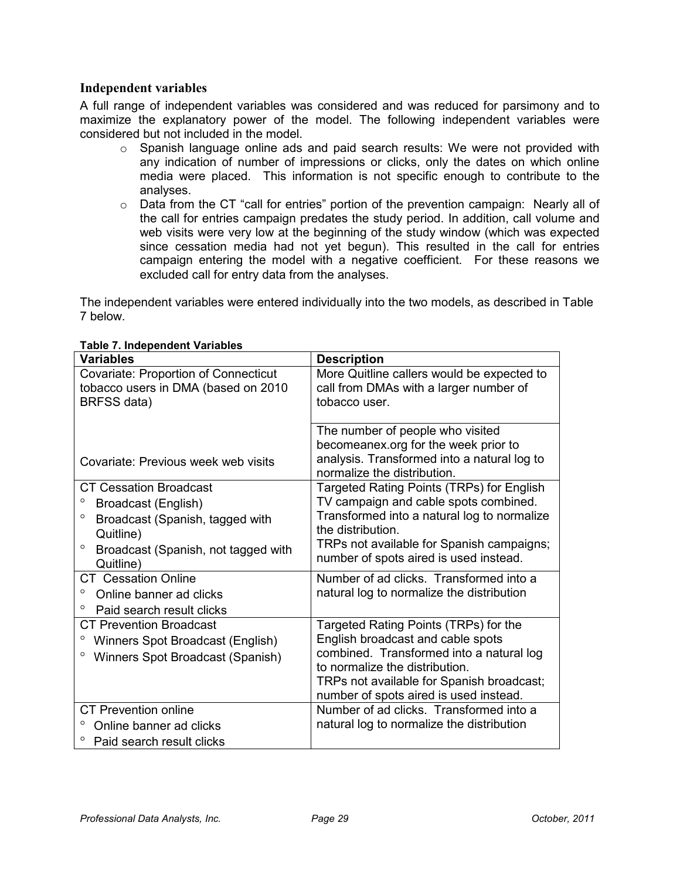#### **Independent variables**

A full range of independent variables was considered and was reduced for parsimony and to maximize the explanatory power of the model. The following independent variables were considered but not included in the model.

- $\circ$  Spanish language online ads and paid search results: We were not provided with any indication of number of impressions or clicks, only the dates on which online media were placed. This information is not specific enough to contribute to the analyses.
- $\circ$  Data from the CT "call for entries" portion of the prevention campaign: Nearly all of the call for entries campaign predates the study period. In addition, call volume and web visits were very low at the beginning of the study window (which was expected since cessation media had not yet begun). This resulted in the call for entries campaign entering the model with a negative coefficient. For these reasons we excluded call for entry data from the analyses.

The independent variables were entered individually into the two models, as described in Table 7 below.

| <b>Variables</b>                               | <b>Description</b>                                                         |
|------------------------------------------------|----------------------------------------------------------------------------|
| <b>Covariate: Proportion of Connecticut</b>    | More Quitline callers would be expected to                                 |
| tobacco users in DMA (based on 2010            | call from DMAs with a larger number of                                     |
| BRFSS data)                                    | tobacco user.                                                              |
|                                                |                                                                            |
|                                                | The number of people who visited                                           |
|                                                | becomeanex.org for the week prior to                                       |
| Covariate: Previous week web visits            | analysis. Transformed into a natural log to<br>normalize the distribution. |
| <b>CT Cessation Broadcast</b>                  | Targeted Rating Points (TRPs) for English                                  |
| Broadcast (English)                            | TV campaign and cable spots combined.                                      |
| $\circ$<br>Broadcast (Spanish, tagged with     | Transformed into a natural log to normalize                                |
| Quitline)                                      | the distribution.                                                          |
| $\circ$<br>Broadcast (Spanish, not tagged with | TRPs not available for Spanish campaigns;                                  |
| Quitline)                                      | number of spots aired is used instead.                                     |
| <b>CT</b> Cessation Online                     | Number of ad clicks. Transformed into a                                    |
| o<br>Online banner ad clicks                   | natural log to normalize the distribution                                  |
| $\circ$<br>Paid search result clicks           |                                                                            |
| <b>CT Prevention Broadcast</b>                 | Targeted Rating Points (TRPs) for the                                      |
| Winners Spot Broadcast (English)               | English broadcast and cable spots                                          |
| $\circ$<br>Winners Spot Broadcast (Spanish)    | combined. Transformed into a natural log                                   |
|                                                | to normalize the distribution.                                             |
|                                                | TRPs not available for Spanish broadcast;                                  |
|                                                | number of spots aired is used instead.                                     |
| <b>CT</b> Prevention online                    | Number of ad clicks. Transformed into a                                    |
| Online banner ad clicks                        | natural log to normalize the distribution                                  |
| Paid search result clicks                      |                                                                            |

#### **Table 7. Independent Variables**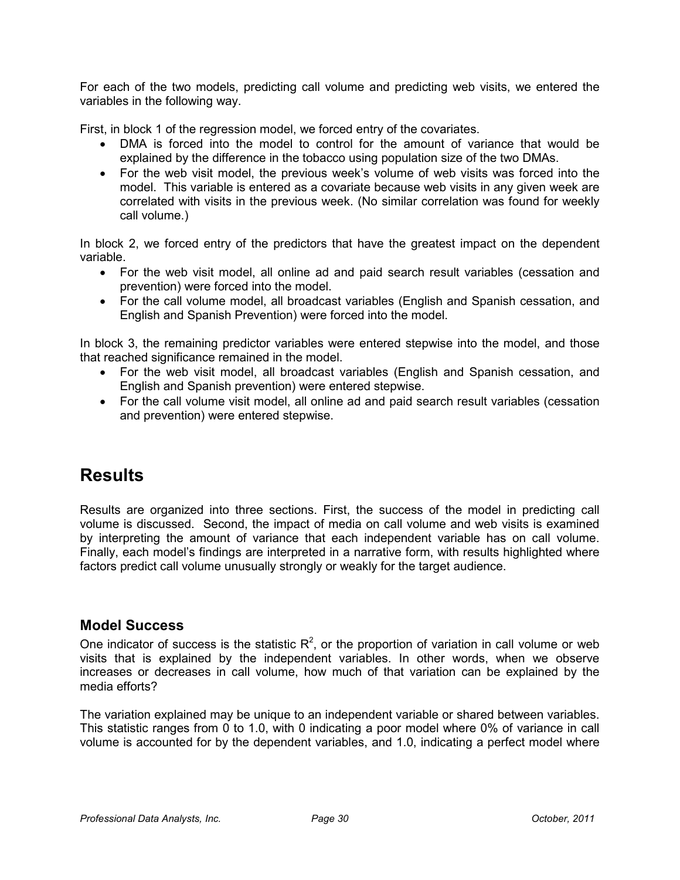For each of the two models, predicting call volume and predicting web visits, we entered the variables in the following way.

First, in block 1 of the regression model, we forced entry of the covariates.

- DMA is forced into the model to control for the amount of variance that would be explained by the difference in the tobacco using population size of the two DMAs.
- For the web visit model, the previous week's volume of web visits was forced into the model. This variable is entered as a covariate because web visits in any given week are correlated with visits in the previous week. (No similar correlation was found for weekly call volume.)

In block 2, we forced entry of the predictors that have the greatest impact on the dependent variable.

- For the web visit model, all online ad and paid search result variables (cessation and prevention) were forced into the model.
- For the call volume model, all broadcast variables (English and Spanish cessation, and English and Spanish Prevention) were forced into the model.

In block 3, the remaining predictor variables were entered stepwise into the model, and those that reached significance remained in the model.

- For the web visit model, all broadcast variables (English and Spanish cessation, and English and Spanish prevention) were entered stepwise.
- For the call volume visit model, all online ad and paid search result variables (cessation and prevention) were entered stepwise.

# **Results**

Results are organized into three sections. First, the success of the model in predicting call volume is discussed. Second, the impact of media on call volume and web visits is examined by interpreting the amount of variance that each independent variable has on call volume. Finally, each model's findings are interpreted in a narrative form, with results highlighted where factors predict call volume unusually strongly or weakly for the target audience.

### **Model Success**

One indicator of success is the statistic  $R^2$ , or the proportion of variation in call volume or web visits that is explained by the independent variables. In other words, when we observe increases or decreases in call volume, how much of that variation can be explained by the media efforts?

The variation explained may be unique to an independent variable or shared between variables. This statistic ranges from 0 to 1.0, with 0 indicating a poor model where 0% of variance in call volume is accounted for by the dependent variables, and 1.0, indicating a perfect model where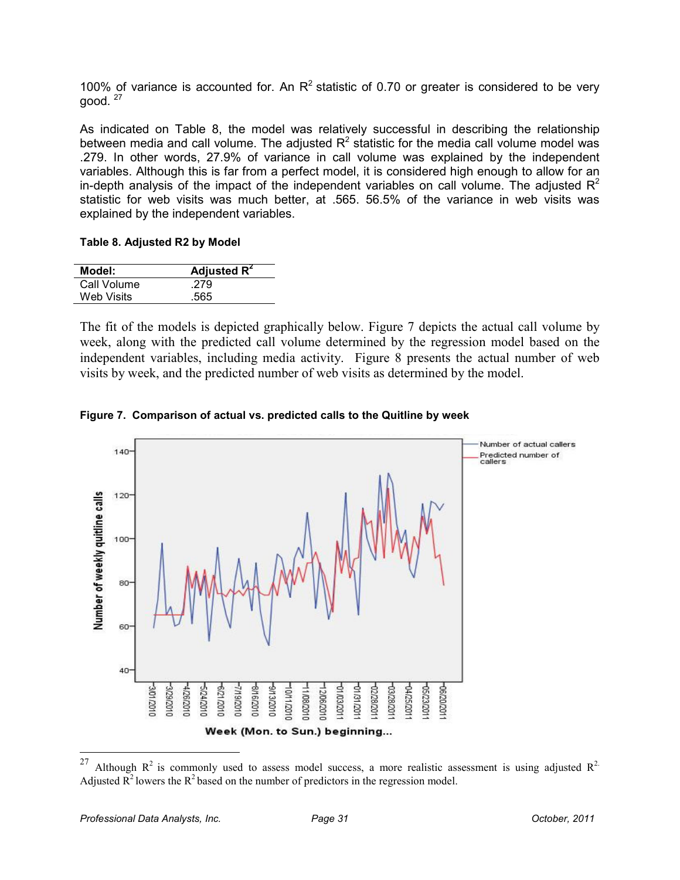100% of variance is accounted for. An  $R^2$  statistic of 0.70 or greater is considered to be very aood.  $27$ 

As indicated on Table 8, the model was relatively successful in describing the relationship between media and call volume. The adjusted  $R^2$  statistic for the media call volume model was .279. In other words, 27.9% of variance in call volume was explained by the independent variables. Although this is far from a perfect model, it is considered high enough to allow for an in-depth analysis of the impact of the independent variables on call volume. The adjusted  $R^2$ statistic for web visits was much better, at .565. 56.5% of the variance in web visits was explained by the independent variables.

#### **Table 8. Adjusted R2 by Model**

| Model:      | Adjusted $R^2$ |
|-------------|----------------|
| Call Volume | .279           |
| Web Visits  | .565           |

The fit of the models is depicted graphically below. Figure 7 depicts the actual call volume by week, along with the predicted call volume determined by the regression model based on the independent variables, including media activity. Figure 8 presents the actual number of web visits by week, and the predicted number of web visits as determined by the model.





<sup>27</sup> Although  $R^2$  is commonly used to assess model success, a more realistic assessment is using adjusted  $R^2$ . Adjusted  $\overline{R}^2$  lowers the  $R^2$  based on the number of predictors in the regression model.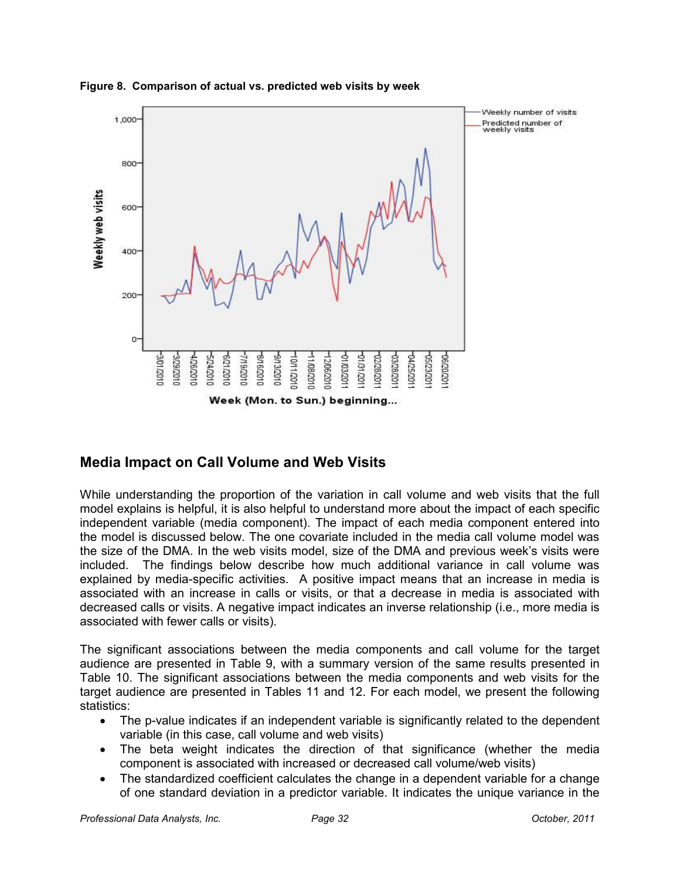

#### **Figure 8. Comparison of actual vs. predicted web visits by week**

# **Media Impact on Call Volume and Web Visits**

While understanding the proportion of the variation in call volume and web visits that the full model explains is helpful, it is also helpful to understand more about the impact of each specific independent variable (media component). The impact of each media component entered into the model is discussed below. The one covariate included in the media call volume model was the size of the DMA. In the web visits model, size of the DMA and previous week's visits were included. The findings below describe how much additional variance in call volume was explained by media-specific activities. A positive impact means that an increase in media is associated with an increase in calls or visits, or that a decrease in media is associated with decreased calls or visits. A negative impact indicates an inverse relationship (i.e., more media is associated with fewer calls or visits).

The significant associations between the media components and call volume for the target audience are presented in Table 9, with a summary version of the same results presented in Table 10. The significant associations between the media components and web visits for the target audience are presented in Tables 11 and 12. For each model, we present the following statistics:

- The p-value indicates if an independent variable is significantly related to the dependent variable (in this case, call volume and web visits)
- The beta weight indicates the direction of that significance (whether the media component is associated with increased or decreased call volume/web visits)
- The standardized coefficient calculates the change in a dependent variable for a change of one standard deviation in a predictor variable. It indicates the unique variance in the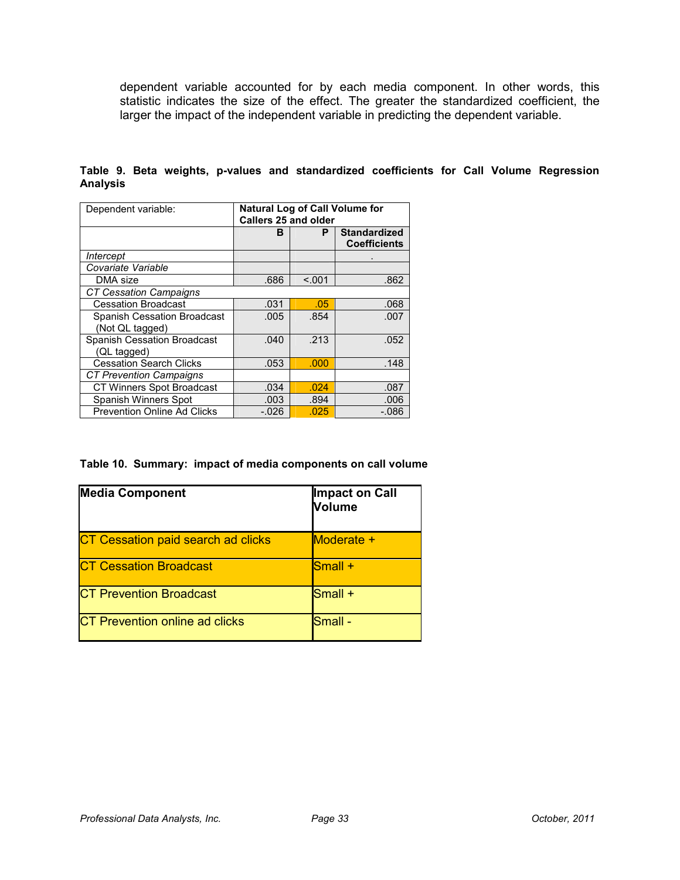dependent variable accounted for by each media component. In other words, this statistic indicates the size of the effect. The greater the standardized coefficient, the larger the impact of the independent variable in predicting the dependent variable.

| Dependent variable:                | Natural Log of Call Volume for<br><b>Callers 25 and older</b> |        |                                            |
|------------------------------------|---------------------------------------------------------------|--------|--------------------------------------------|
|                                    | в                                                             | P      | <b>Standardized</b><br><b>Coefficients</b> |
| Intercept                          |                                                               |        |                                            |
| Covariate Variable                 |                                                               |        |                                            |
| DMA size                           | .686                                                          | < 0.01 | .862                                       |
| <b>CT Cessation Campaigns</b>      |                                                               |        |                                            |
| <b>Cessation Broadcast</b>         | .031                                                          | .05    | .068                                       |
| Spanish Cessation Broadcast        | .005                                                          | .854   | .007                                       |
| (Not QL tagged)                    |                                                               |        |                                            |
| Spanish Cessation Broadcast        | .040                                                          | .213   | .052                                       |
| (QL tagged)                        |                                                               |        |                                            |
| <b>Cessation Search Clicks</b>     | .053                                                          | .000   | .148                                       |
| <b>CT Prevention Campaigns</b>     |                                                               |        |                                            |
| CT Winners Spot Broadcast          | .034                                                          | .024   | .087                                       |
| Spanish Winners Spot               | .003                                                          | .894   | .006                                       |
| <b>Prevention Online Ad Clicks</b> | $-.026$                                                       | .025   | -.086                                      |

**Table 9. Beta weights, p-values and standardized coefficients for Call Volume Regression Analysis** 

**Table 10. Summary: impact of media components on call volume** 

| <b>Media Component</b>             | Impact on Call<br><b>Volume</b> |
|------------------------------------|---------------------------------|
| CT Cessation paid search ad clicks | Moderate +                      |
| <b>CT Cessation Broadcast</b>      | $Small +$                       |
| <b>CT Prevention Broadcast</b>     | Small +                         |
| CT Prevention online ad clicks     | lSmall -                        |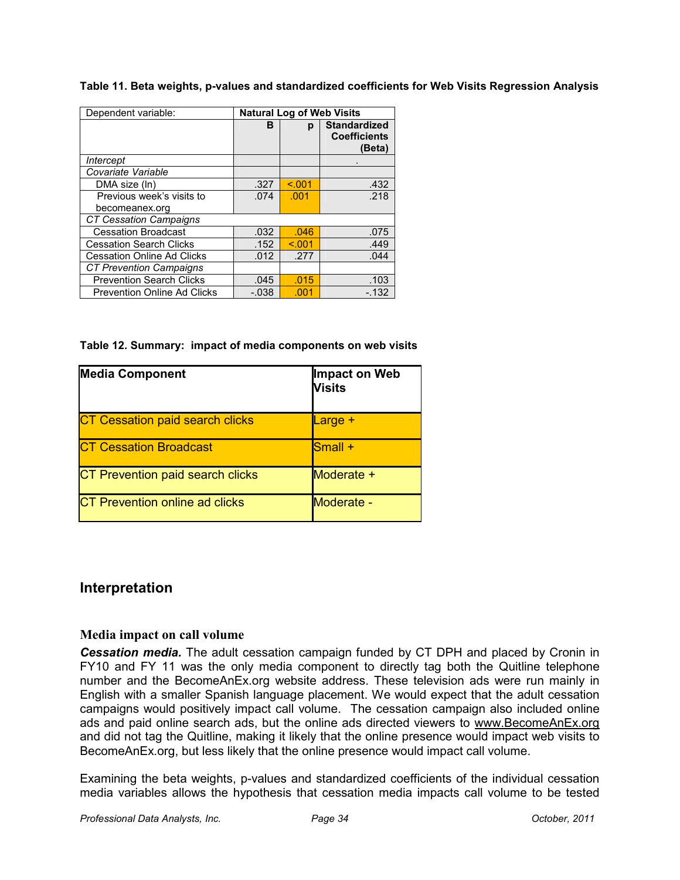**Table 11. Beta weights, p-values and standardized coefficients for Web Visits Regression Analysis** 

| Dependent variable:                | <b>Natural Log of Web Visits</b> |         |                     |
|------------------------------------|----------------------------------|---------|---------------------|
|                                    | в                                | р       | <b>Standardized</b> |
|                                    |                                  |         | <b>Coefficients</b> |
|                                    |                                  |         | (Beta)              |
| Intercept                          |                                  |         |                     |
| Covariate Variable                 |                                  |         |                     |
| DMA size (In)                      | .327                             | < 0.001 | .432                |
| Previous week's visits to          | .074                             | .001    | .218                |
| becomeanex.org                     |                                  |         |                     |
| <b>CT Cessation Campaigns</b>      |                                  |         |                     |
| <b>Cessation Broadcast</b>         | .032                             | .046    | .075                |
| <b>Cessation Search Clicks</b>     | .152                             | < 0.01  | .449                |
| <b>Cessation Online Ad Clicks</b>  | .012                             | .277    | .044                |
| <b>CT Prevention Campaigns</b>     |                                  |         |                     |
| <b>Prevention Search Clicks</b>    | .045                             | .015    | .103                |
| <b>Prevention Online Ad Clicks</b> | $-.038$                          | .001    | $-132$              |

**Table 12. Summary: impact of media components on web visits** 

| <b>Media Component</b>                 | Impact on Web<br><b>Visits</b> |
|----------------------------------------|--------------------------------|
| <b>CT Cessation paid search clicks</b> | <b>Large +</b>                 |
| <b>CT Cessation Broadcast</b>          | <b>Small</b> +                 |
| CT Prevention paid search clicks       | Moderate +                     |
| <b>CT Prevention online ad clicks</b>  | Moderate -                     |

# **Interpretation**

### **Media impact on call volume**

*Cessation media.* The adult cessation campaign funded by CT DPH and placed by Cronin in FY10 and FY 11 was the only media component to directly tag both the Quitline telephone number and the BecomeAnEx.org website address. These television ads were run mainly in English with a smaller Spanish language placement. We would expect that the adult cessation campaigns would positively impact call volume. The cessation campaign also included online ads and paid online search ads, but the online ads directed viewers to www.BecomeAnEx.org and did not tag the Quitline, making it likely that the online presence would impact web visits to BecomeAnEx.org, but less likely that the online presence would impact call volume.

Examining the beta weights, p-values and standardized coefficients of the individual cessation media variables allows the hypothesis that cessation media impacts call volume to be tested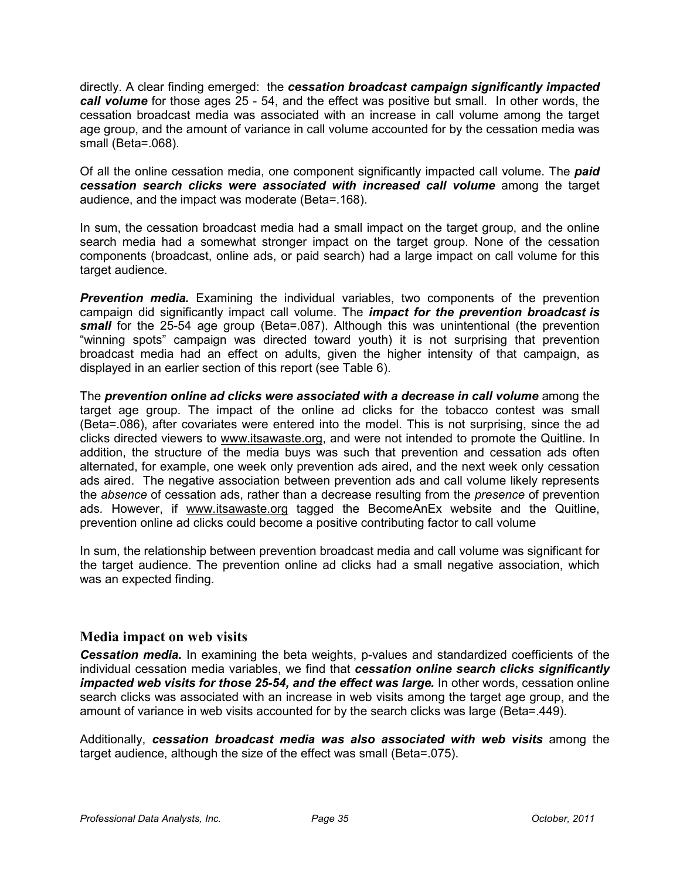directly. A clear finding emerged: the *cessation broadcast campaign significantly impacted call volume* for those ages 25 - 54, and the effect was positive but small. In other words, the cessation broadcast media was associated with an increase in call volume among the target age group, and the amount of variance in call volume accounted for by the cessation media was small (Beta=.068).

Of all the online cessation media, one component significantly impacted call volume. The *paid cessation search clicks were associated with increased call volume* among the target audience, and the impact was moderate (Beta=.168).

In sum, the cessation broadcast media had a small impact on the target group, and the online search media had a somewhat stronger impact on the target group. None of the cessation components (broadcast, online ads, or paid search) had a large impact on call volume for this target audience.

**Prevention media.** Examining the individual variables, two components of the prevention campaign did significantly impact call volume. The *impact for the prevention broadcast is small* for the 25-54 age group (Beta=.087). Although this was unintentional (the prevention "winning spots" campaign was directed toward youth) it is not surprising that prevention broadcast media had an effect on adults, given the higher intensity of that campaign, as displayed in an earlier section of this report (see Table 6).

The *prevention online ad clicks were associated with a decrease in call volume* among the target age group. The impact of the online ad clicks for the tobacco contest was small (Beta=.086), after covariates were entered into the model. This is not surprising, since the ad clicks directed viewers to www.itsawaste.org, and were not intended to promote the Quitline. In addition, the structure of the media buys was such that prevention and cessation ads often alternated, for example, one week only prevention ads aired, and the next week only cessation ads aired. The negative association between prevention ads and call volume likely represents the *absence* of cessation ads, rather than a decrease resulting from the *presence* of prevention ads*.* However, if www.itsawaste.org tagged the BecomeAnEx website and the Quitline, prevention online ad clicks could become a positive contributing factor to call volume

In sum, the relationship between prevention broadcast media and call volume was significant for the target audience. The prevention online ad clicks had a small negative association, which was an expected finding.

### **Media impact on web visits**

*Cessation media.* In examining the beta weights, p-values and standardized coefficients of the individual cessation media variables, we find that *cessation online search clicks significantly impacted web visits for those 25-54, and the effect was large.* In other words, cessation online search clicks was associated with an increase in web visits among the target age group, and the amount of variance in web visits accounted for by the search clicks was large (Beta=.449).

Additionally, *cessation broadcast media was also associated with web visits* among the target audience, although the size of the effect was small (Beta=.075).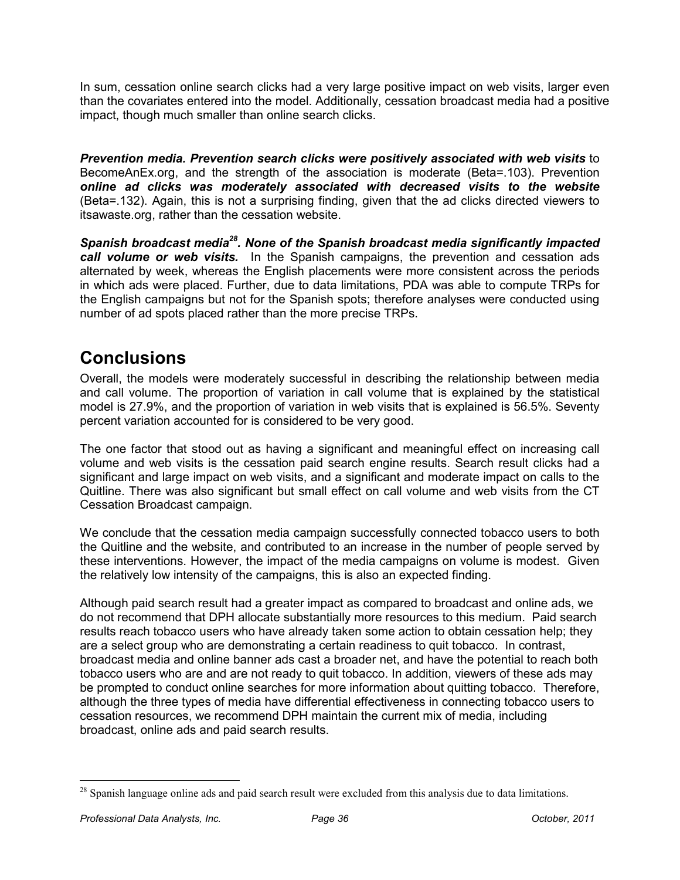In sum, cessation online search clicks had a very large positive impact on web visits, larger even than the covariates entered into the model. Additionally, cessation broadcast media had a positive impact, though much smaller than online search clicks.

*Prevention media. Prevention search clicks were positively associated with web visits* to BecomeAnEx.org, and the strength of the association is moderate (Beta=.103). Prevention *online ad clicks was moderately associated with decreased visits to the website* (Beta=.132). Again, this is not a surprising finding, given that the ad clicks directed viewers to itsawaste.org, rather than the cessation website.

*Spanish broadcast media<sup>28</sup>. None of the Spanish broadcast media significantly impacted call volume or web visits.* In the Spanish campaigns, the prevention and cessation ads alternated by week, whereas the English placements were more consistent across the periods in which ads were placed. Further, due to data limitations, PDA was able to compute TRPs for the English campaigns but not for the Spanish spots; therefore analyses were conducted using number of ad spots placed rather than the more precise TRPs.

# **Conclusions**

Overall, the models were moderately successful in describing the relationship between media and call volume. The proportion of variation in call volume that is explained by the statistical model is 27.9%, and the proportion of variation in web visits that is explained is 56.5%. Seventy percent variation accounted for is considered to be very good.

The one factor that stood out as having a significant and meaningful effect on increasing call volume and web visits is the cessation paid search engine results. Search result clicks had a significant and large impact on web visits, and a significant and moderate impact on calls to the Quitline. There was also significant but small effect on call volume and web visits from the CT Cessation Broadcast campaign.

We conclude that the cessation media campaign successfully connected tobacco users to both the Quitline and the website, and contributed to an increase in the number of people served by these interventions. However, the impact of the media campaigns on volume is modest. Given the relatively low intensity of the campaigns, this is also an expected finding.

Although paid search result had a greater impact as compared to broadcast and online ads, we do not recommend that DPH allocate substantially more resources to this medium. Paid search results reach tobacco users who have already taken some action to obtain cessation help; they are a select group who are demonstrating a certain readiness to quit tobacco. In contrast, broadcast media and online banner ads cast a broader net, and have the potential to reach both tobacco users who are and are not ready to quit tobacco. In addition, viewers of these ads may be prompted to conduct online searches for more information about quitting tobacco. Therefore, although the three types of media have differential effectiveness in connecting tobacco users to cessation resources, we recommend DPH maintain the current mix of media, including broadcast, online ads and paid search results.

<u>.</u>

<sup>&</sup>lt;sup>28</sup> Spanish language online ads and paid search result were excluded from this analysis due to data limitations.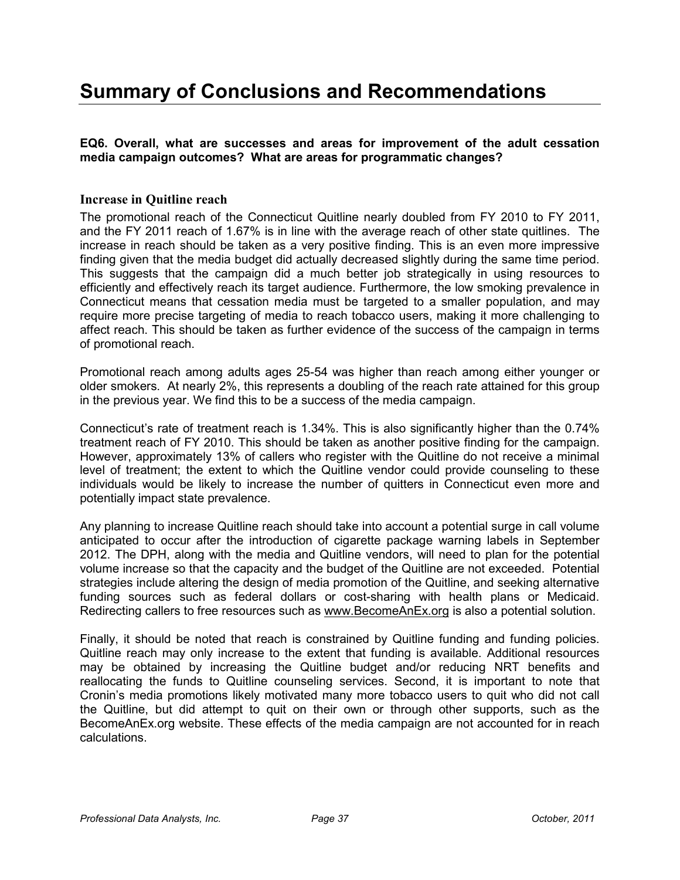# **Summary of Conclusions and Recommendations**

**EQ6. Overall, what are successes and areas for improvement of the adult cessation media campaign outcomes? What are areas for programmatic changes?** 

#### **Increase in Quitline reach**

The promotional reach of the Connecticut Quitline nearly doubled from FY 2010 to FY 2011, and the FY 2011 reach of 1.67% is in line with the average reach of other state quitlines. The increase in reach should be taken as a very positive finding. This is an even more impressive finding given that the media budget did actually decreased slightly during the same time period. This suggests that the campaign did a much better job strategically in using resources to efficiently and effectively reach its target audience. Furthermore, the low smoking prevalence in Connecticut means that cessation media must be targeted to a smaller population, and may require more precise targeting of media to reach tobacco users, making it more challenging to affect reach. This should be taken as further evidence of the success of the campaign in terms of promotional reach.

Promotional reach among adults ages 25-54 was higher than reach among either younger or older smokers. At nearly 2%, this represents a doubling of the reach rate attained for this group in the previous year. We find this to be a success of the media campaign.

Connecticut's rate of treatment reach is 1.34%. This is also significantly higher than the 0.74% treatment reach of FY 2010. This should be taken as another positive finding for the campaign. However, approximately 13% of callers who register with the Quitline do not receive a minimal level of treatment; the extent to which the Quitline vendor could provide counseling to these individuals would be likely to increase the number of quitters in Connecticut even more and potentially impact state prevalence.

Any planning to increase Quitline reach should take into account a potential surge in call volume anticipated to occur after the introduction of cigarette package warning labels in September 2012. The DPH, along with the media and Quitline vendors, will need to plan for the potential volume increase so that the capacity and the budget of the Quitline are not exceeded. Potential strategies include altering the design of media promotion of the Quitline, and seeking alternative funding sources such as federal dollars or cost-sharing with health plans or Medicaid. Redirecting callers to free resources such as www.BecomeAnEx.org is also a potential solution.

Finally, it should be noted that reach is constrained by Quitline funding and funding policies. Quitline reach may only increase to the extent that funding is available. Additional resources may be obtained by increasing the Quitline budget and/or reducing NRT benefits and reallocating the funds to Quitline counseling services. Second, it is important to note that Cronin's media promotions likely motivated many more tobacco users to quit who did not call the Quitline, but did attempt to quit on their own or through other supports, such as the BecomeAnEx.org website. These effects of the media campaign are not accounted for in reach calculations.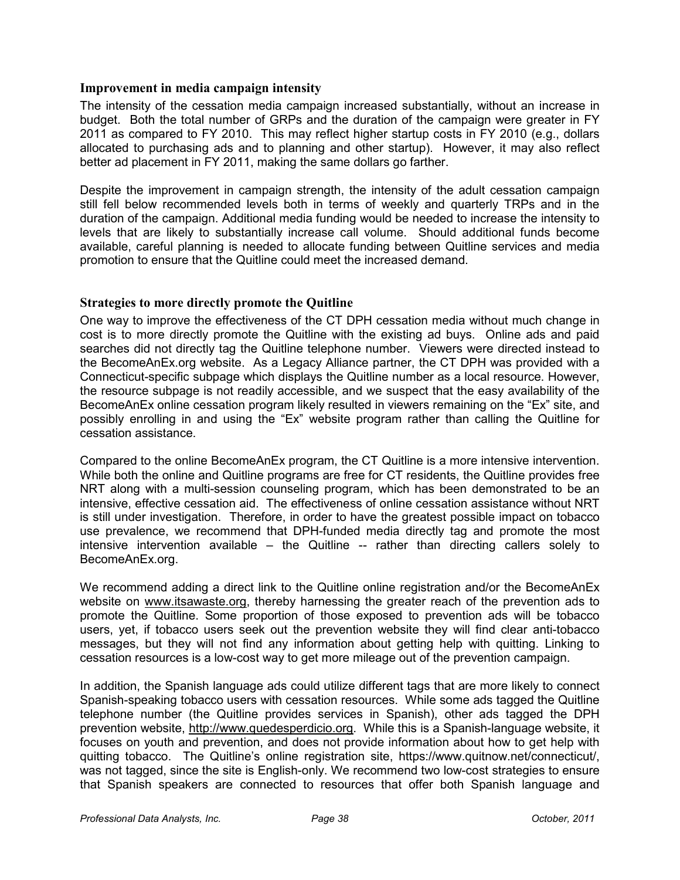#### **Improvement in media campaign intensity**

The intensity of the cessation media campaign increased substantially, without an increase in budget. Both the total number of GRPs and the duration of the campaign were greater in FY 2011 as compared to FY 2010. This may reflect higher startup costs in FY 2010 (e.g., dollars allocated to purchasing ads and to planning and other startup). However, it may also reflect better ad placement in FY 2011, making the same dollars go farther.

Despite the improvement in campaign strength, the intensity of the adult cessation campaign still fell below recommended levels both in terms of weekly and quarterly TRPs and in the duration of the campaign. Additional media funding would be needed to increase the intensity to levels that are likely to substantially increase call volume. Should additional funds become available, careful planning is needed to allocate funding between Quitline services and media promotion to ensure that the Quitline could meet the increased demand.

#### **Strategies to more directly promote the Quitline**

One way to improve the effectiveness of the CT DPH cessation media without much change in cost is to more directly promote the Quitline with the existing ad buys. Online ads and paid searches did not directly tag the Quitline telephone number. Viewers were directed instead to the BecomeAnEx.org website. As a Legacy Alliance partner, the CT DPH was provided with a Connecticut-specific subpage which displays the Quitline number as a local resource. However, the resource subpage is not readily accessible, and we suspect that the easy availability of the BecomeAnEx online cessation program likely resulted in viewers remaining on the "Ex" site, and possibly enrolling in and using the "Ex" website program rather than calling the Quitline for cessation assistance.

Compared to the online BecomeAnEx program, the CT Quitline is a more intensive intervention. While both the online and Quitline programs are free for CT residents, the Quitline provides free NRT along with a multi-session counseling program, which has been demonstrated to be an intensive, effective cessation aid. The effectiveness of online cessation assistance without NRT is still under investigation. Therefore, in order to have the greatest possible impact on tobacco use prevalence, we recommend that DPH-funded media directly tag and promote the most intensive intervention available – the Quitline -- rather than directing callers solely to BecomeAnEx.org.

We recommend adding a direct link to the Quitline online registration and/or the BecomeAnEx website on www.itsawaste.org, thereby harnessing the greater reach of the prevention ads to promote the Quitline. Some proportion of those exposed to prevention ads will be tobacco users, yet, if tobacco users seek out the prevention website they will find clear anti-tobacco messages, but they will not find any information about getting help with quitting. Linking to cessation resources is a low-cost way to get more mileage out of the prevention campaign.

In addition, the Spanish language ads could utilize different tags that are more likely to connect Spanish-speaking tobacco users with cessation resources. While some ads tagged the Quitline telephone number (the Quitline provides services in Spanish), other ads tagged the DPH prevention website, http://www.quedesperdicio.org. While this is a Spanish-language website, it focuses on youth and prevention, and does not provide information about how to get help with quitting tobacco. The Quitline's online registration site, https://www.quitnow.net/connecticut/, was not tagged, since the site is English-only. We recommend two low-cost strategies to ensure that Spanish speakers are connected to resources that offer both Spanish language and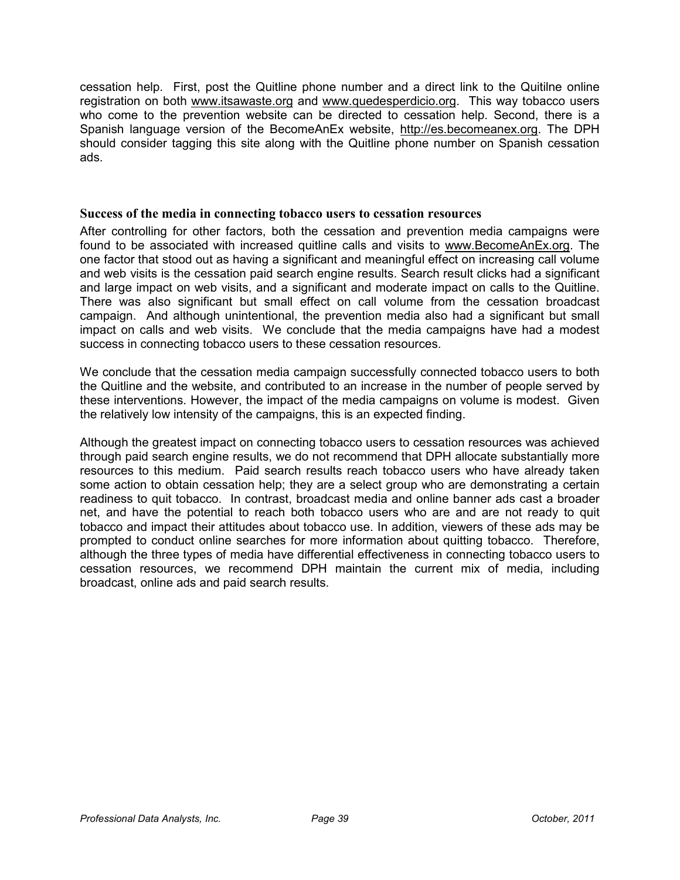cessation help. First, post the Quitline phone number and a direct link to the Quitilne online registration on both www.itsawaste.org and www.quedesperdicio.org. This way tobacco users who come to the prevention website can be directed to cessation help. Second, there is a Spanish language version of the BecomeAnEx website, http://es.becomeanex.org. The DPH should consider tagging this site along with the Quitline phone number on Spanish cessation ads.

#### **Success of the media in connecting tobacco users to cessation resources**

After controlling for other factors, both the cessation and prevention media campaigns were found to be associated with increased quitline calls and visits to www.BecomeAnEx.org. The one factor that stood out as having a significant and meaningful effect on increasing call volume and web visits is the cessation paid search engine results. Search result clicks had a significant and large impact on web visits, and a significant and moderate impact on calls to the Quitline. There was also significant but small effect on call volume from the cessation broadcast campaign. And although unintentional, the prevention media also had a significant but small impact on calls and web visits. We conclude that the media campaigns have had a modest success in connecting tobacco users to these cessation resources.

We conclude that the cessation media campaign successfully connected tobacco users to both the Quitline and the website, and contributed to an increase in the number of people served by these interventions. However, the impact of the media campaigns on volume is modest. Given the relatively low intensity of the campaigns, this is an expected finding.

Although the greatest impact on connecting tobacco users to cessation resources was achieved through paid search engine results, we do not recommend that DPH allocate substantially more resources to this medium. Paid search results reach tobacco users who have already taken some action to obtain cessation help; they are a select group who are demonstrating a certain readiness to quit tobacco. In contrast, broadcast media and online banner ads cast a broader net, and have the potential to reach both tobacco users who are and are not ready to quit tobacco and impact their attitudes about tobacco use. In addition, viewers of these ads may be prompted to conduct online searches for more information about quitting tobacco. Therefore, although the three types of media have differential effectiveness in connecting tobacco users to cessation resources, we recommend DPH maintain the current mix of media, including broadcast, online ads and paid search results.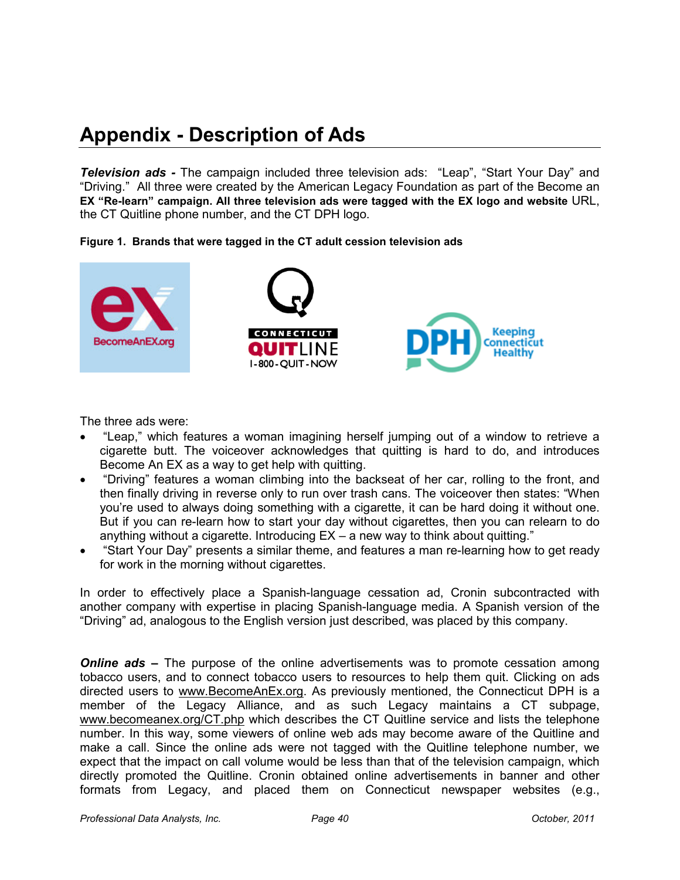# **Appendix - Description of Ads**

*Television ads -* The campaign included three television ads: "Leap", "Start Your Day" and "Driving." All three were created by the American Legacy Foundation as part of the Become an **EX "Re-learn" campaign. All three television ads were tagged with the EX logo and website** URL, the CT Quitline phone number, and the CT DPH logo.





The three ads were:

- "Leap," which features a woman imagining herself jumping out of a window to retrieve a cigarette butt. The voiceover acknowledges that quitting is hard to do, and introduces Become An EX as a way to get help with quitting.
- "Driving" features a woman climbing into the backseat of her car, rolling to the front, and then finally driving in reverse only to run over trash cans. The voiceover then states: "When you're used to always doing something with a cigarette, it can be hard doing it without one. But if you can re-learn how to start your day without cigarettes, then you can relearn to do anything without a cigarette. Introducing EX – a new way to think about quitting."
- "Start Your Day" presents a similar theme, and features a man re-learning how to get ready for work in the morning without cigarettes.

In order to effectively place a Spanish-language cessation ad, Cronin subcontracted with another company with expertise in placing Spanish-language media. A Spanish version of the "Driving" ad, analogous to the English version just described, was placed by this company.

*Online ads* – The purpose of the online advertisements was to promote cessation among tobacco users, and to connect tobacco users to resources to help them quit. Clicking on ads directed users to www.BecomeAnEx.org. As previously mentioned, the Connecticut DPH is a member of the Legacy Alliance, and as such Legacy maintains a CT subpage, www.becomeanex.org/CT.php which describes the CT Quitline service and lists the telephone number. In this way, some viewers of online web ads may become aware of the Quitline and make a call. Since the online ads were not tagged with the Quitline telephone number, we expect that the impact on call volume would be less than that of the television campaign, which directly promoted the Quitline. Cronin obtained online advertisements in banner and other formats from Legacy, and placed them on Connecticut newspaper websites (e.g.,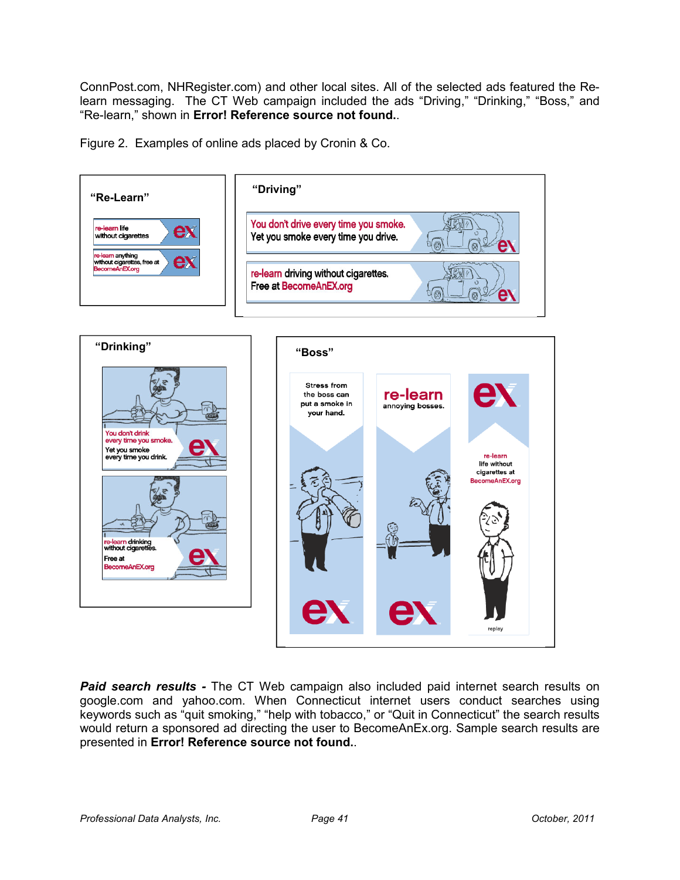ConnPost.com, NHRegister.com) and other local sites. All of the selected ads featured the Relearn messaging. The CT Web campaign included the ads "Driving," "Drinking," "Boss," and "Re-learn," shown in **Error! Reference source not found.**.

Figure 2. Examples of online ads placed by Cronin & Co.



**Paid search results -** The CT Web campaign also included paid internet search results on google.com and yahoo.com. When Connecticut internet users conduct searches using keywords such as "quit smoking," "help with tobacco," or "Quit in Connecticut" the search results would return a sponsored ad directing the user to BecomeAnEx.org. Sample search results are presented in **Error! Reference source not found.**.